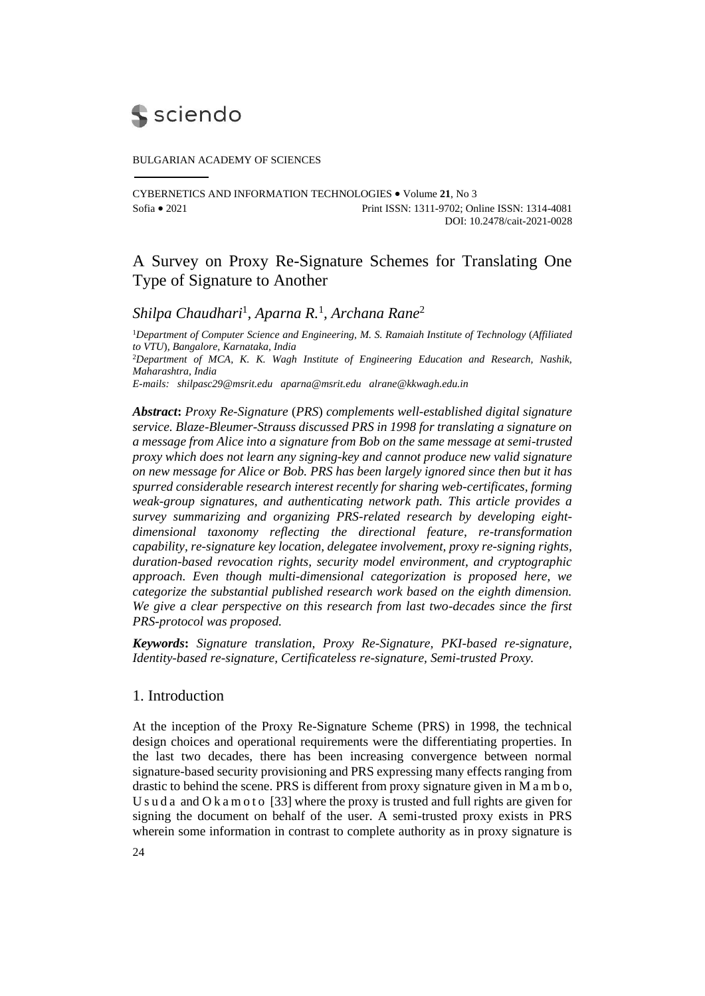

#### BULGARIAN ACADEMY OF SCIENCES

CYBERNETICS AND INFORMATION TECHNOLOGIES Volume **21**, No 3 Sofia 2021 Print ISSN: 1311-9702; Online ISSN: 1314-4081 DOI: 10.2478/cait-2021-0028

# A Survey on Proxy Re-Signature Schemes for Translating One Type of Signature to Another

*Shilpa Chaudhari*<sup>1</sup> *, Aparna R.* 1 *, Archana Rane*<sup>2</sup>

<sup>1</sup>*Department of Computer Science and Engineering, M. S. Ramaiah Institute of Technology* (*Affiliated to VTU*)*, Bangalore, Karnataka, India* <sup>2</sup>*Department of MCA, K. K. Wagh Institute of Engineering Education and Research, Nashik, Maharashtra, India E-mails: [shilpasc29@msrit.edu](mailto:shilpasc29@msrit.edu) [aparna@msrit.edu](mailto:aparna@msrit.edu) alrane@kkwagh.edu.in*

*Abstract***:** *Proxy Re-Signature* (*PRS*) *complements well-established digital signature service. Blaze-Bleumer-Strauss discussed PRS in 1998 for translating a signature on a message from Alice into a signature from Bob on the same message at semi-trusted proxy which does not learn any signing-key and cannot produce new valid signature on new message for Alice or Bob. PRS has been largely ignored since then but it has spurred considerable research interest recently for sharing web-certificates, forming weak-group signatures, and authenticating network path. This article provides a survey summarizing and organizing PRS-related research by developing eightdimensional taxonomy reflecting the directional feature, re-transformation capability, re-signature key location, delegatee involvement, proxy re-signing rights, duration-based revocation rights, security model environment, and cryptographic approach. Even though multi-dimensional categorization is proposed here, we categorize the substantial published research work based on the eighth dimension. We give a clear perspective on this research from last two-decades since the first PRS-protocol was proposed.* 

*Keywords***:** *Signature translation, Proxy Re-Signature, PKI-based re-signature, Identity-based re-signature, Certificateless re-signature, Semi-trusted Proxy.*

## 1. Introduction

At the inception of the Proxy Re-Signature Scheme (PRS) in 1998, the technical design choices and operational requirements were the differentiating properties. In the last two decades, there has been increasing convergence between normal signature-based security provisioning and PRS expressing many effects ranging from drastic to behind the scene. PRS is different from proxy signature given in M a m b o, U s u d a and O k a m o t o  $[33]$  where the proxy is trusted and full rights are given for signing the document on behalf of the user. A semi-trusted proxy exists in PRS wherein some information in contrast to complete authority as in proxy signature is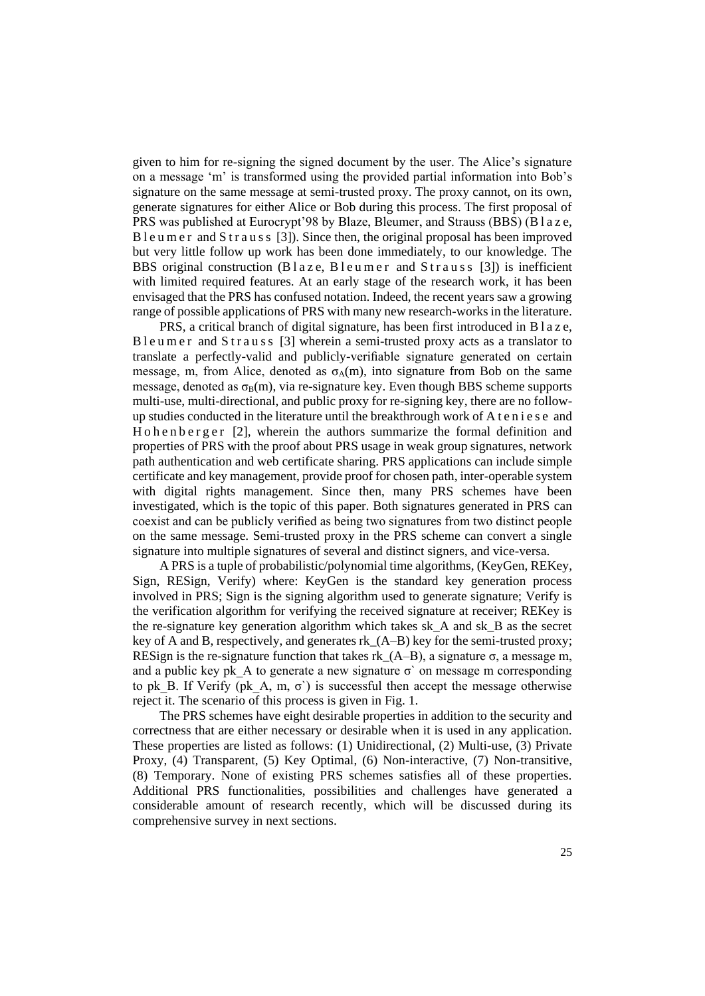given to him for re-signing the signed document by the user. The Alice's signature on a message 'm' is transformed using the provided partial information into Bob's signature on the same message at semi-trusted proxy. The proxy cannot, on its own, generate signatures for either Alice or Bob during this process. The first proposal of PRS was published at Eurocrypt'98 by Blaze, Bleumer, and Strauss (BBS) (B l a z e, B l e u m e r and S t r a u s s [3]). Since then, the original proposal has been improved but very little follow up work has been done immediately, to our knowledge. The BBS original construction  $(B \mid a \le \varepsilon, B \mid e \le \varepsilon \text{ mod } S \text{ trans } [3])$  is inefficient with limited required features. At an early stage of the research work, it has been envisaged that the PRS has confused notation. Indeed, the recent years saw a growing range of possible applications of PRS with many new research-works in the literature.

PRS, a critical branch of digital signature, has been first introduced in B l a z e, B l e u m e r and S t r a u s s [3] wherein a semi-trusted proxy acts as a translator to translate a perfectly-valid and publicly-verifiable signature generated on certain message, m, from Alice, denoted as  $\sigma_A(m)$ , into signature from Bob on the same message, denoted as  $\sigma_B(m)$ , via re-signature key. Even though BBS scheme supports multi-use, multi-directional, and public proxy for re-signing key, there are no followup studies conducted in the literature until the breakthrough work of A t e n i e s e and H o h e n b e r g e r  $[2]$ , wherein the authors summarize the formal definition and properties of PRS with the proof about PRS usage in weak group signatures, network path authentication and web certificate sharing. PRS applications can include simple certificate and key management, provide proof for chosen path, inter-operable system with digital rights management. Since then, many PRS schemes have been investigated, which is the topic of this paper. Both signatures generated in PRS can coexist and can be publicly verified as being two signatures from two distinct people on the same message. Semi-trusted proxy in the PRS scheme can convert a single signature into multiple signatures of several and distinct signers, and vice-versa.

A PRS is a tuple of probabilistic/polynomial time algorithms, (KeyGen, REKey, Sign, RESign, Verify) where: KeyGen is the standard key generation process involved in PRS; Sign is the signing algorithm used to generate signature; Verify is the verification algorithm for verifying the received signature at receiver; REKey is the re-signature key generation algorithm which takes sk\_A and sk\_B as the secret key of A and B, respectively, and generates rk\_(A–B) key for the semi-trusted proxy; RESign is the re-signature function that takes rk  $(A-B)$ , a signature  $\sigma$ , a message m, and a public key pk A to generate a new signature  $\sigma$  on message m corresponding to pk B. If Verify (pk A, m,  $\sigma$ ) is successful then accept the message otherwise reject it. The scenario of this process is given in Fig. 1.

The PRS schemes have eight desirable properties in addition to the security and correctness that are either necessary or desirable when it is used in any application. These properties are listed as follows: (1) Unidirectional, (2) Multi-use, (3) Private Proxy, (4) Transparent, (5) Key Optimal, (6) Non-interactive, (7) Non-transitive, (8) Temporary. None of existing PRS schemes satisfies all of these properties. Additional PRS functionalities, possibilities and challenges have generated a considerable amount of research recently, which will be discussed during its comprehensive survey in next sections.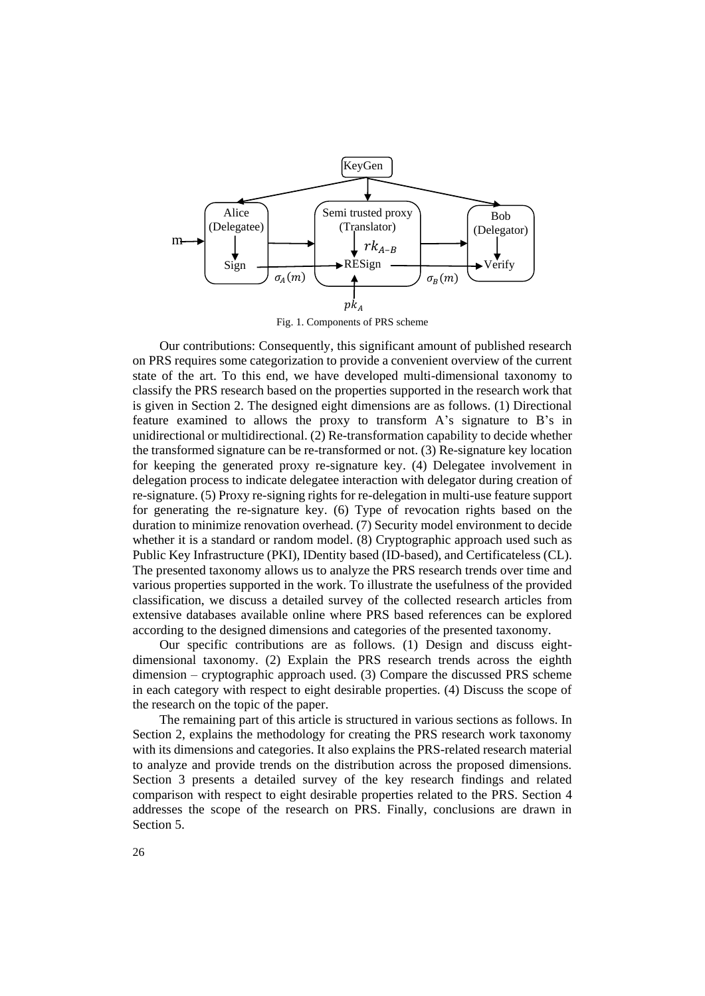

Our contributions: Consequently, this significant amount of published research on PRS requires some categorization to provide a convenient overview of the current state of the art. To this end, we have developed multi-dimensional taxonomy to classify the PRS research based on the properties supported in the research work that is given in Section 2. The designed eight dimensions are as follows. (1) Directional feature examined to allows the proxy to transform A's signature to B's in unidirectional or multidirectional. (2) Re-transformation capability to decide whether the transformed signature can be re-transformed or not. (3) Re-signature key location for keeping the generated proxy re-signature key. (4) Delegatee involvement in delegation process to indicate delegatee interaction with delegator during creation of re-signature. (5) Proxy re-signing rights for re-delegation in multi-use feature support for generating the re-signature key. (6) Type of revocation rights based on the duration to minimize renovation overhead. (7) Security model environment to decide whether it is a standard or random model. (8) Cryptographic approach used such as Public Key Infrastructure (PKI), IDentity based (ID-based), and Certificateless (CL). The presented taxonomy allows us to analyze the PRS research trends over time and various properties supported in the work. To illustrate the usefulness of the provided classification, we discuss a detailed survey of the collected research articles from extensive databases available online where PRS based references can be explored according to the designed dimensions and categories of the presented taxonomy.

Our specific contributions are as follows. (1) Design and discuss eightdimensional taxonomy. (2) Explain the PRS research trends across the eighth dimension – cryptographic approach used. (3) Compare the discussed PRS scheme in each category with respect to eight desirable properties. (4) Discuss the scope of the research on the topic of the paper.

The remaining part of this article is structured in various sections as follows. In Section 2, explains the methodology for creating the PRS research work taxonomy with its dimensions and categories. It also explains the PRS-related research material to analyze and provide trends on the distribution across the proposed dimensions. Section 3 presents a detailed survey of the key research findings and related comparison with respect to eight desirable properties related to the PRS. Section 4 addresses the scope of the research on PRS. Finally, conclusions are drawn in Section 5.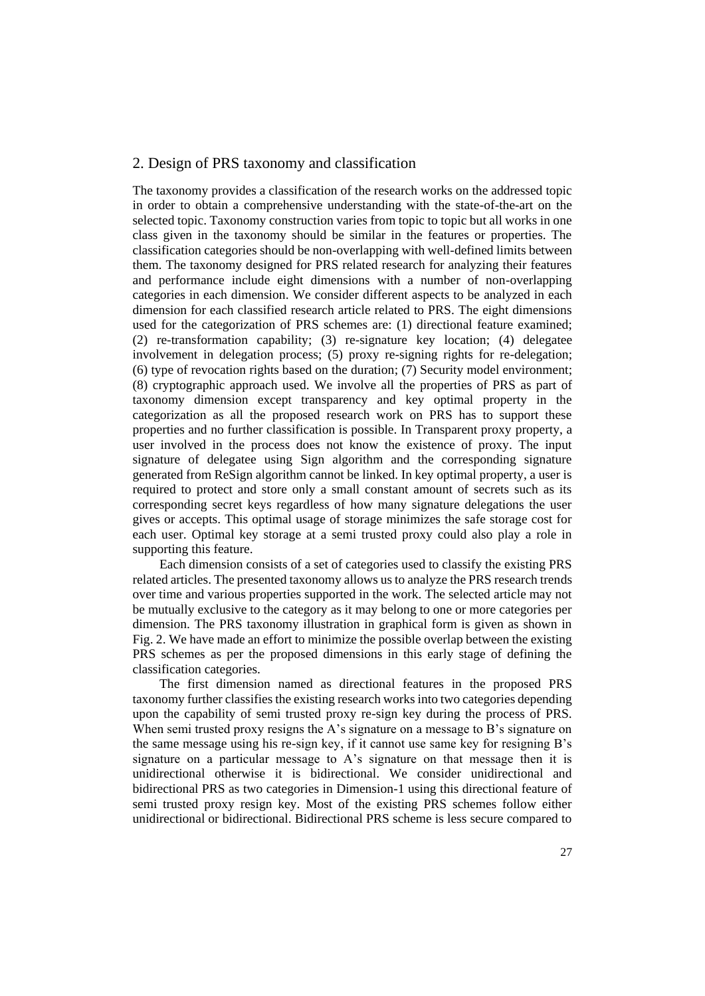## 2. Design of PRS taxonomy and classification

The taxonomy provides a classification of the research works on the addressed topic in order to obtain a comprehensive understanding with the state-of-the-art on the selected topic. Taxonomy construction varies from topic to topic but all works in one class given in the taxonomy should be similar in the features or properties. The classification categories should be non-overlapping with well-defined limits between them. The taxonomy designed for PRS related research for analyzing their features and performance include eight dimensions with a number of non-overlapping categories in each dimension. We consider different aspects to be analyzed in each dimension for each classified research article related to PRS. The eight dimensions used for the categorization of PRS schemes are: (1) directional feature examined; (2) re-transformation capability; (3) re-signature key location; (4) delegatee involvement in delegation process; (5) proxy re-signing rights for re-delegation; (6) type of revocation rights based on the duration; (7) Security model environment; (8) cryptographic approach used. We involve all the properties of PRS as part of taxonomy dimension except transparency and key optimal property in the categorization as all the proposed research work on PRS has to support these properties and no further classification is possible. In Transparent proxy property, a user involved in the process does not know the existence of proxy. The input signature of delegatee using Sign algorithm and the corresponding signature generated from ReSign algorithm cannot be linked. In key optimal property, a user is required to protect and store only a small constant amount of secrets such as its corresponding secret keys regardless of how many signature delegations the user gives or accepts. This optimal usage of storage minimizes the safe storage cost for each user. Optimal key storage at a semi trusted proxy could also play a role in supporting this feature.

Each dimension consists of a set of categories used to classify the existing PRS related articles. The presented taxonomy allows us to analyze the PRS research trends over time and various properties supported in the work. The selected article may not be mutually exclusive to the category as it may belong to one or more categories per dimension. The PRS taxonomy illustration in graphical form is given as shown in Fig. 2. We have made an effort to minimize the possible overlap between the existing PRS schemes as per the proposed dimensions in this early stage of defining the classification categories.

The first dimension named as directional features in the proposed PRS taxonomy further classifies the existing research works into two categories depending upon the capability of semi trusted proxy re-sign key during the process of PRS. When semi trusted proxy resigns the A's signature on a message to B's signature on the same message using his re-sign key, if it cannot use same key for resigning B's signature on a particular message to A's signature on that message then it is unidirectional otherwise it is bidirectional. We consider unidirectional and bidirectional PRS as two categories in Dimension-1 using this directional feature of semi trusted proxy resign key. Most of the existing PRS schemes follow either unidirectional or bidirectional. Bidirectional PRS scheme is less secure compared to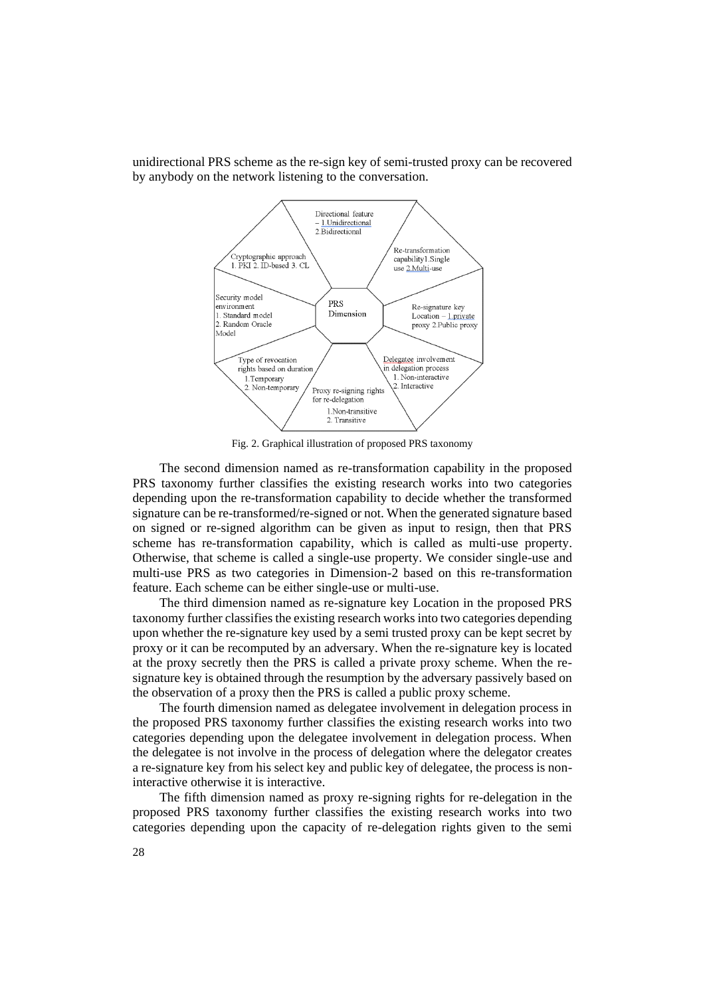

unidirectional PRS scheme as the re-sign key of semi-trusted proxy can be recovered by anybody on the network listening to the conversation.

Fig. 2. Graphical illustration of proposed PRS taxonomy

The second dimension named as re-transformation capability in the proposed PRS taxonomy further classifies the existing research works into two categories depending upon the re-transformation capability to decide whether the transformed signature can be re-transformed/re-signed or not. When the generated signature based on signed or re-signed algorithm can be given as input to resign, then that PRS scheme has re-transformation capability, which is called as multi-use property. Otherwise, that scheme is called a single-use property. We consider single-use and multi-use PRS as two categories in Dimension-2 based on this re-transformation feature. Each scheme can be either single-use or multi-use.

The third dimension named as re-signature key Location in the proposed PRS taxonomy further classifies the existing research works into two categories depending upon whether the re-signature key used by a semi trusted proxy can be kept secret by proxy or it can be recomputed by an adversary. When the re-signature key is located at the proxy secretly then the PRS is called a private proxy scheme. When the resignature key is obtained through the resumption by the adversary passively based on the observation of a proxy then the PRS is called a public proxy scheme.

The fourth dimension named as delegatee involvement in delegation process in the proposed PRS taxonomy further classifies the existing research works into two categories depending upon the delegatee involvement in delegation process. When the delegatee is not involve in the process of delegation where the delegator creates a re-signature key from his select key and public key of delegatee, the process is noninteractive otherwise it is interactive.

The fifth dimension named as proxy re-signing rights for re-delegation in the proposed PRS taxonomy further classifies the existing research works into two categories depending upon the capacity of re-delegation rights given to the semi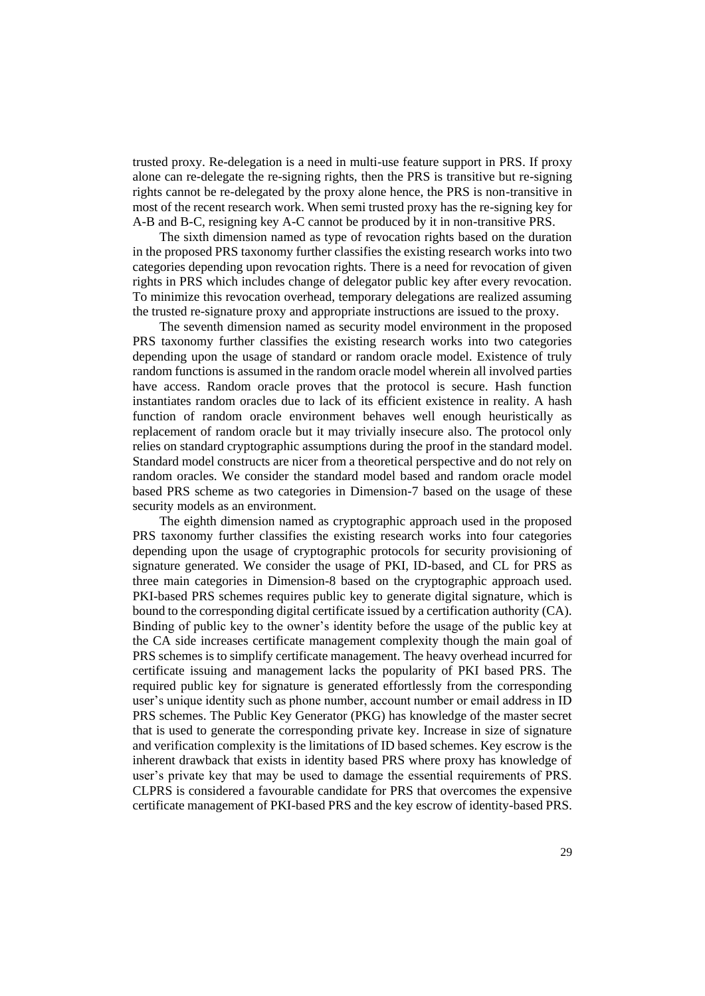trusted proxy. Re-delegation is a need in multi-use feature support in PRS. If proxy alone can re-delegate the re-signing rights, then the PRS is transitive but re-signing rights cannot be re-delegated by the proxy alone hence, the PRS is non-transitive in most of the recent research work. When semi trusted proxy has the re-signing key for A-B and B-C, resigning key A-C cannot be produced by it in non-transitive PRS.

The sixth dimension named as type of revocation rights based on the duration in the proposed PRS taxonomy further classifies the existing research works into two categories depending upon revocation rights. There is a need for revocation of given rights in PRS which includes change of delegator public key after every revocation. To minimize this revocation overhead, temporary delegations are realized assuming the trusted re-signature proxy and appropriate instructions are issued to the proxy.

The seventh dimension named as security model environment in the proposed PRS taxonomy further classifies the existing research works into two categories depending upon the usage of standard or random oracle model. Existence of truly random functions is assumed in the random oracle model wherein all involved parties have access. Random oracle proves that the protocol is secure. Hash function instantiates random oracles due to lack of its efficient existence in reality. A hash function of random oracle environment behaves well enough heuristically as replacement of random oracle but it may trivially insecure also. The protocol only relies on standard cryptographic assumptions during the proof in the standard model. Standard model constructs are nicer from a theoretical perspective and do not rely on random oracles. We consider the standard model based and random oracle model based PRS scheme as two categories in Dimension-7 based on the usage of these security models as an environment.

The eighth dimension named as cryptographic approach used in the proposed PRS taxonomy further classifies the existing research works into four categories depending upon the usage of cryptographic protocols for security provisioning of signature generated. We consider the usage of PKI, ID-based, and CL for PRS as three main categories in Dimension-8 based on the cryptographic approach used. PKI-based PRS schemes requires public key to generate digital signature, which is bound to the corresponding digital certificate issued by a certification authority (CA). Binding of public key to the owner's identity before the usage of the public key at the CA side increases certificate management complexity though the main goal of PRS schemes is to simplify certificate management. The heavy overhead incurred for certificate issuing and management lacks the popularity of PKI based PRS. The required public key for signature is generated effortlessly from the corresponding user's unique identity such as phone number, account number or email address in ID PRS schemes. The Public Key Generator (PKG) has knowledge of the master secret that is used to generate the corresponding private key. Increase in size of signature and verification complexity is the limitations of ID based schemes. Key escrow is the inherent drawback that exists in identity based PRS where proxy has knowledge of user's private key that may be used to damage the essential requirements of PRS. CLPRS is considered a favourable candidate for PRS that overcomes the expensive certificate management of PKI-based PRS and the key escrow of identity-based PRS.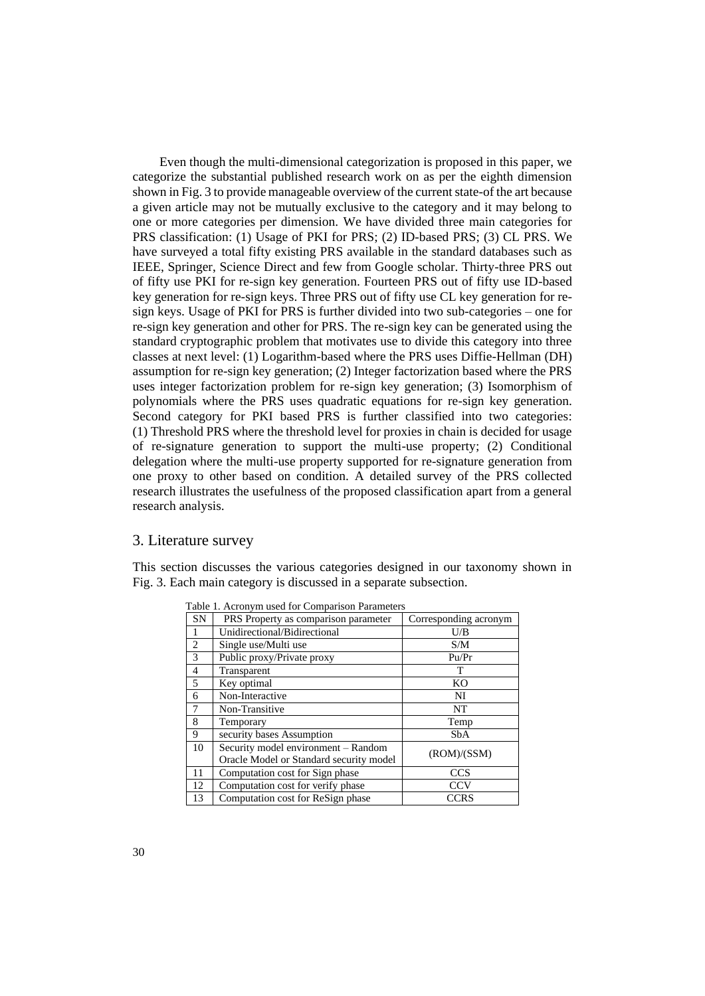Even though the multi-dimensional categorization is proposed in this paper, we categorize the substantial published research work on as per the eighth dimension shown in Fig. 3 to provide manageable overview of the current state-of the art because a given article may not be mutually exclusive to the category and it may belong to one or more categories per dimension. We have divided three main categories for PRS classification: (1) Usage of PKI for PRS; (2) ID-based PRS; (3) CL PRS. We have surveyed a total fifty existing PRS available in the standard databases such as IEEE, Springer, Science Direct and few from Google scholar. Thirty-three PRS out of fifty use PKI for re-sign key generation. Fourteen PRS out of fifty use ID-based key generation for re-sign keys. Three PRS out of fifty use CL key generation for resign keys. Usage of PKI for PRS is further divided into two sub-categories – one for re-sign key generation and other for PRS. The re-sign key can be generated using the standard cryptographic problem that motivates use to divide this category into three classes at next level: (1) Logarithm-based where the PRS uses Diffie-Hellman (DH) assumption for re-sign key generation; (2) Integer factorization based where the PRS uses integer factorization problem for re-sign key generation; (3) Isomorphism of polynomials where the PRS uses quadratic equations for re-sign key generation. Second category for PKI based PRS is further classified into two categories: (1) Threshold PRS where the threshold level for proxies in chain is decided for usage of re-signature generation to support the multi-use property; (2) Conditional delegation where the multi-use property supported for re-signature generation from one proxy to other based on condition. A detailed survey of the PRS collected research illustrates the usefulness of the proposed classification apart from a general research analysis.

## 3. Literature survey

This section discusses the various categories designed in our taxonomy shown in Fig. 3. Each main category is discussed in a separate subsection.

| <b>SN</b>      | PRS Property as comparison parameter                                           | Corresponding acronym |
|----------------|--------------------------------------------------------------------------------|-----------------------|
|                | Unidirectional/Bidirectional                                                   | U/B                   |
| $\mathfrak{D}$ | Single use/Multi use                                                           | S/M                   |
| 3              | Public proxy/Private proxy                                                     | Pu/Pr                 |
| 4              | Transparent                                                                    | т                     |
| 5              | Key optimal                                                                    | KO                    |
| 6              | Non-Interactive                                                                | NI                    |
| 7              | Non-Transitive                                                                 | NT                    |
| 8              | Temporary                                                                      | Temp                  |
| 9              | security bases Assumption                                                      | SbA                   |
| 10             | Security model environment - Random<br>Oracle Model or Standard security model | (ROM)/(SSM)           |
| 11             | Computation cost for Sign phase                                                | <b>CCS</b>            |
| 12             | Computation cost for verify phase                                              | <b>CCV</b>            |
| 13             | Computation cost for ReSign phase                                              | <b>CCRS</b>           |

Table 1. Acronym used for Comparison Parameters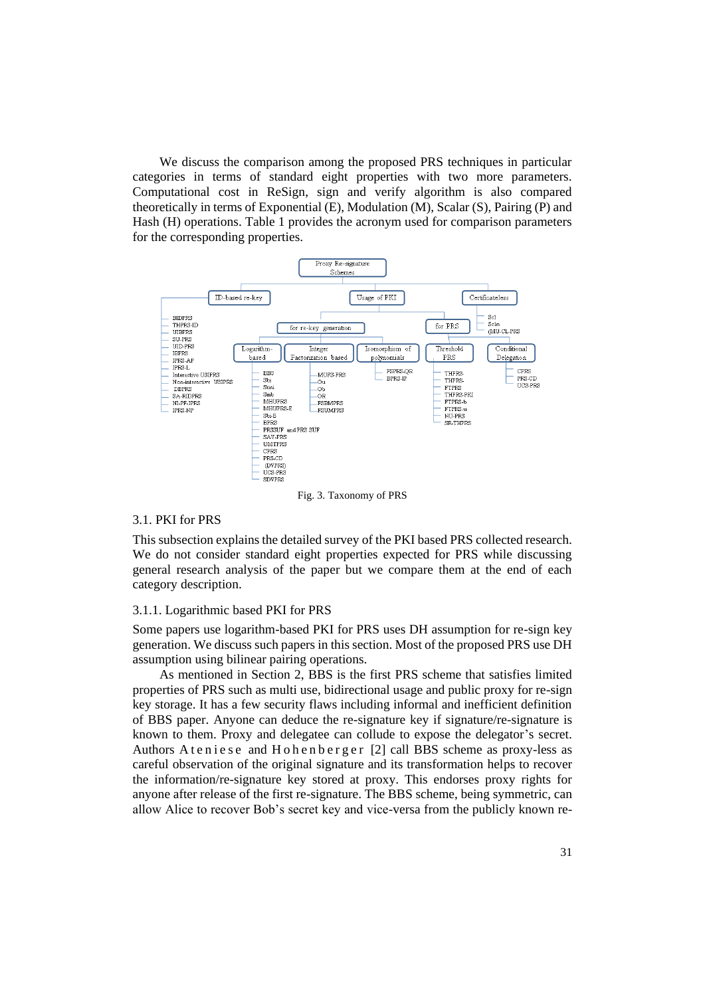We discuss the comparison among the proposed PRS techniques in particular categories in terms of standard eight properties with two more parameters. Computational cost in ReSign, sign and verify algorithm is also compared theoretically in terms of Exponential (E), Modulation (M), Scalar (S), Pairing (P) and Hash (H) operations. Table 1 provides the acronym used for comparison parameters for the corresponding properties.



Fig. 3. Taxonomy of PRS

### 3.1. PKI for PRS

This subsection explains the detailed survey of the PKI based PRS collected research. We do not consider standard eight properties expected for PRS while discussing general research analysis of the paper but we compare them at the end of each category description.

#### 3.1.1. Logarithmic based PKI for PRS

Some papers use logarithm-based PKI for PRS uses DH assumption for re-sign key generation. We discuss such papers in this section. Most of the proposed PRS use DH assumption using bilinear pairing operations.

As mentioned in Section 2, BBS is the first PRS scheme that satisfies limited properties of PRS such as multi use, bidirectional usage and public proxy for re-sign key storage. It has a few security flaws including informal and inefficient definition of BBS paper. Anyone can deduce the re-signature key if signature/re-signature is known to them. Proxy and delegatee can collude to expose the delegator's secret. Authors A t e n i e s e and H o h e n b e r g e r [2] call BBS scheme as proxy-less as careful observation of the original signature and its transformation helps to recover the information/re-signature key stored at proxy. This endorses proxy rights for anyone after release of the first re-signature. The BBS scheme, being symmetric, can allow Alice to recover Bob's secret key and vice-versa from the publicly known re-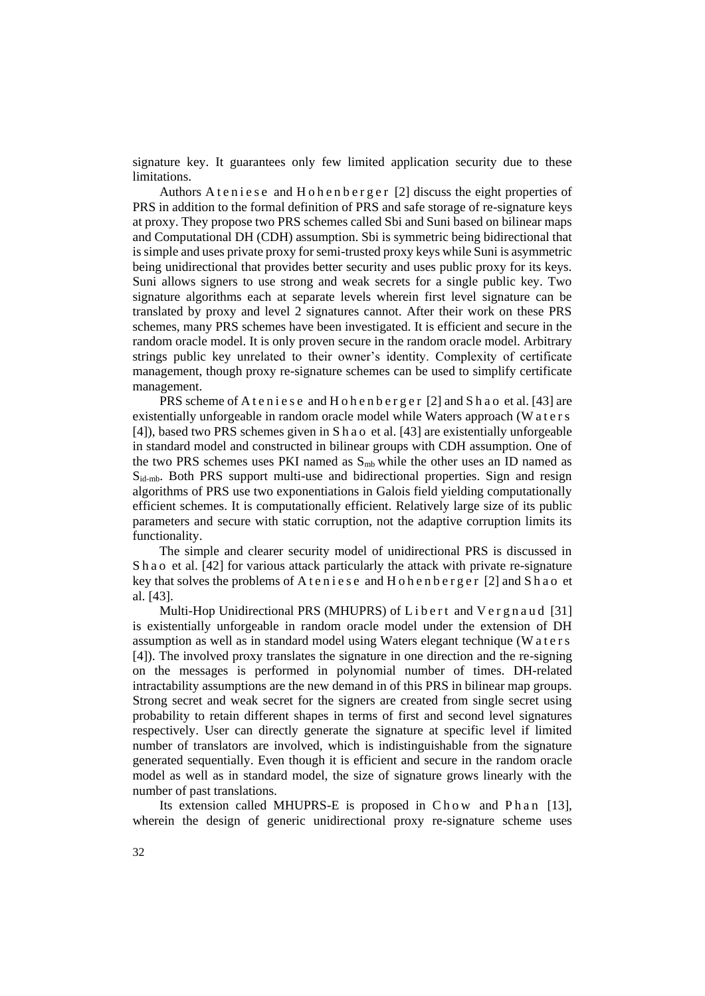signature key. It guarantees only few limited application security due to these limitations.

Authors A t e n i e s e and H o h e n b e r g e r [2] discuss the eight properties of PRS in addition to the formal definition of PRS and safe storage of re-signature keys at proxy. They propose two PRS schemes called Sbi and Suni based on bilinear maps and Computational DH (CDH) assumption. Sbi is symmetric being bidirectional that is simple and uses private proxy for semi-trusted proxy keys while Suni is asymmetric being unidirectional that provides better security and uses public proxy for its keys. Suni allows signers to use strong and weak secrets for a single public key. Two signature algorithms each at separate levels wherein first level signature can be translated by proxy and level 2 signatures cannot. After their work on these PRS schemes, many PRS schemes have been investigated. It is efficient and secure in the random oracle model. It is only proven secure in the random oracle model. Arbitrary strings public key unrelated to their owner's identity. Complexity of certificate management, though proxy re-signature schemes can be used to simplify certificate management.

PRS scheme of A t e n i e s e and H o h e n b e r g e r [2] and S h a o et al. [43] are existentially unforgeable in random oracle model while Waters approach (W a t e r s [4]), based two PRS schemes given in S h a o et al. [43] are existentially unforgeable in standard model and constructed in bilinear groups with CDH assumption. One of the two PRS schemes uses PKI named as  $S<sub>mb</sub>$  while the other uses an ID named as Sid-mb. Both PRS support multi-use and bidirectional properties. Sign and resign algorithms of PRS use two exponentiations in Galois field yielding computationally efficient schemes. It is computationally efficient. Relatively large size of its public parameters and secure with static corruption, not the adaptive corruption limits its functionality.

The simple and clearer security model of unidirectional PRS is discussed in Sh a o et al. [42] for various attack particularly the attack with private re-signature key that solves the problems of  $A$  t enjese and  $H$  o h en b e r g e r [2] and  $S$  h a o et al. [43].

Multi-Hop Unidirectional PRS (MHUPRS) of  $L$  ibert and  $V$ ergnaud [31] is existentially unforgeable in random oracle model under the extension of DH assumption as well as in standard model using Waters elegant technique (W a t e r s [4]). The involved proxy translates the signature in one direction and the re-signing on the messages is performed in polynomial number of times. DH-related intractability assumptions are the new demand in of this PRS in bilinear map groups. Strong secret and weak secret for the signers are created from single secret using probability to retain different shapes in terms of first and second level signatures respectively. User can directly generate the signature at specific level if limited number of translators are involved, which is indistinguishable from the signature generated sequentially. Even though it is efficient and secure in the random oracle model as well as in standard model, the size of signature grows linearly with the number of past translations.

Its extension called MHUPRS-E is proposed in C h o w and P h an [13], wherein the design of generic unidirectional proxy re-signature scheme uses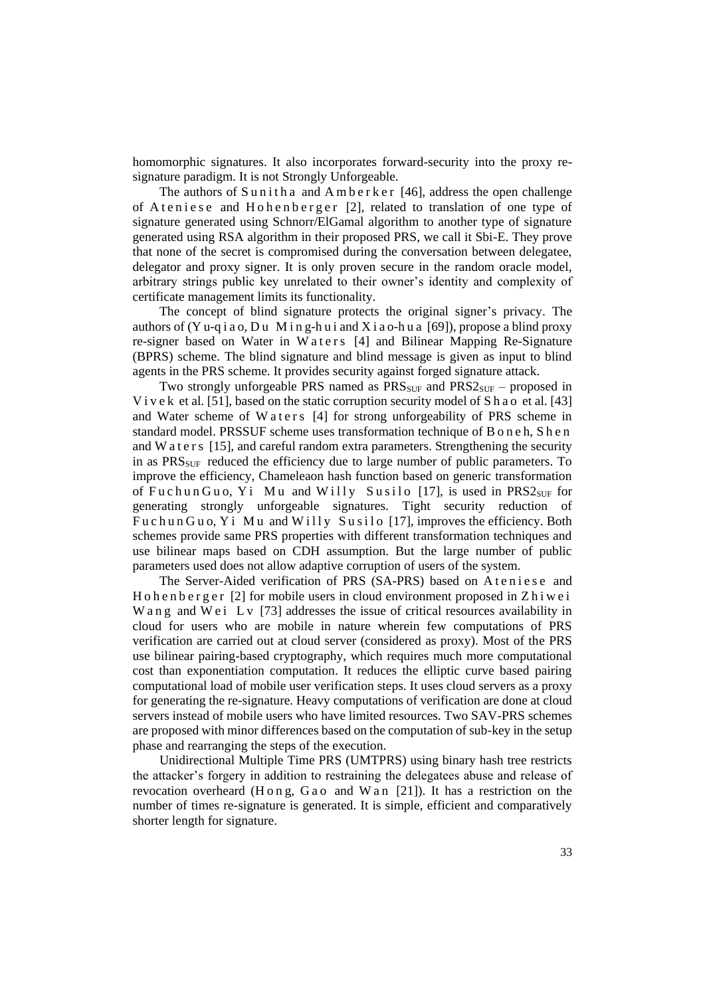homomorphic signatures. It also incorporates forward-security into the proxy resignature paradigm. It is not Strongly Unforgeable.

The authors of Sunitha and Amberker [46], address the open challenge of Ateniese and Hohenberger [2], related to translation of one type of signature generated using Schnorr/ElGamal algorithm to another type of signature generated using RSA algorithm in their proposed PRS, we call it Sbi-E. They prove that none of the secret is compromised during the conversation between delegatee, delegator and proxy signer. It is only proven secure in the random oracle model, arbitrary strings public key unrelated to their owner's identity and complexity of certificate management limits its functionality.

The concept of blind signature protects the original signer's privacy. The authors of (Y u-q i a o, D u M i n g-h u i and X i a o-h u a [69]), propose a blind proxy re-signer based on Water in Waters [4] and Bilinear Mapping Re-Signature (BPRS) scheme. The blind signature and blind message is given as input to blind agents in the PRS scheme. It provides security against forged signature attack.

Two strongly unforgeable PRS named as  $PRS<sub>SUF</sub>$  and  $PRS<sub>SUF</sub>$  – proposed in V i v e k et al. [51], based on the static corruption security model of S h a o et al. [43] and Water scheme of W a t e r s [4] for strong unforgeability of PRS scheme in standard model. PRSSUF scheme uses transformation technique of B o n e h, S h e n and W a t e r s [15], and careful random extra parameters. Strengthening the security in as  $PRS<sub>SUF</sub>$  reduced the efficiency due to large number of public parameters. To improve the efficiency, Chameleaon hash function based on generic transformation of Fuchun Guo, Yi Mu and Willy Susilo [17], is used in  $PRS2<sub>SUF</sub>$  for generating strongly unforgeable signatures. Tight security reduction of Fuchun Guo, Yi Mu and Willy Susilo [17], improves the efficiency. Both schemes provide same PRS properties with different transformation techniques and use bilinear maps based on CDH assumption. But the large number of public parameters used does not allow adaptive corruption of users of the system.

The Server-Aided verification of PRS (SA-PRS) based on A t e n i e s e and H o h e n b e r g e r  $[2]$  for mobile users in cloud environment proposed in Z h i w e i W a n g and W e i L v  $[73]$  addresses the issue of critical resources availability in cloud for users who are mobile in nature wherein few computations of PRS verification are carried out at cloud server (considered as proxy). Most of the PRS use bilinear pairing-based cryptography, which requires much more computational cost than exponentiation computation. It reduces the elliptic curve based pairing computational load of mobile user verification steps. It uses cloud servers as a proxy for generating the re-signature. Heavy computations of verification are done at cloud servers instead of mobile users who have limited resources. Two SAV-PRS schemes are proposed with minor differences based on the computation of sub-key in the setup phase and rearranging the steps of the execution.

Unidirectional Multiple Time PRS (UMTPRS) using binary hash tree restricts the attacker's forgery in addition to restraining the delegatees abuse and release of revocation overheard (H o n g, G a o and W a n  $[21]$ ). It has a restriction on the number of times re-signature is generated. It is simple, efficient and comparatively shorter length for signature.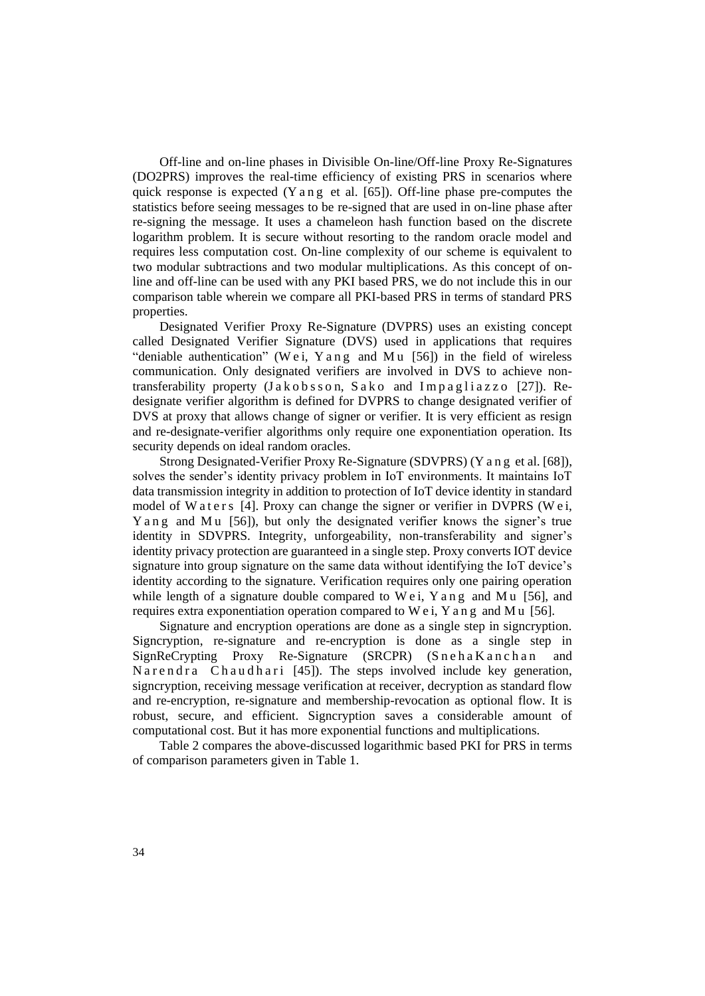Off-line and on-line phases in Divisible On-line/Off-line Proxy Re-Signatures (DO2PRS) improves the real-time efficiency of existing PRS in scenarios where quick response is expected (Y a n g et al.  $[65]$ ). Off-line phase pre-computes the statistics before seeing messages to be re-signed that are used in on-line phase after re-signing the message. It uses a chameleon hash function based on the discrete logarithm problem. It is secure without resorting to the random oracle model and requires less computation cost. On-line complexity of our scheme is equivalent to two modular subtractions and two modular multiplications. As this concept of online and off-line can be used with any PKI based PRS, we do not include this in our comparison table wherein we compare all PKI-based PRS in terms of standard PRS properties.

Designated Verifier Proxy Re-Signature (DVPRS) uses an existing concept called Designated Verifier Signature (DVS) used in applications that requires "deniable authentication" (We i, Y a n g and M u  $[56]$ ) in the field of wireless communication. Only designated verifiers are involved in DVS to achieve nontransferability property  $(Ja \times b \times s \times o, Sa \times o$  and Impagliazzo [27]). Redesignate verifier algorithm is defined for DVPRS to change designated verifier of DVS at proxy that allows change of signer or verifier. It is very efficient as resign and re-designate-verifier algorithms only require one exponentiation operation. Its security depends on ideal random oracles.

Strong Designated-Verifier Proxy Re-Signature (SDVPRS) (Y a n g et al. [68]), solves the sender's identity privacy problem in IoT environments. It maintains IoT data transmission integrity in addition to protection of IoT device identity in standard model of Waters [4]. Proxy can change the signer or verifier in DVPRS (Wei, Y a n g and Mu [56]), but only the designated verifier knows the signer's true identity in SDVPRS. Integrity, unforgeability, non-transferability and signer's identity privacy protection are guaranteed in a single step. Proxy converts IOT device signature into group signature on the same data without identifying the IoT device's identity according to the signature. Verification requires only one pairing operation while length of a signature double compared to  $We$  i,  $Y$  a n g and  $Mu$  [56], and requires extra exponentiation operation compared to W e i, Y a n g and M  $\mu$  [56].

Signature and encryption operations are done as a single step in signcryption. Signcryption, re-signature and re-encryption is done as a single step in SignReCrypting Proxy Re-Signature (SRCPR) (SnehaKanchan and N a r e n d r a C h a u d h a r i [45]). The steps involved include key generation, signcryption, receiving message verification at receiver, decryption as standard flow and re-encryption, re-signature and membership-revocation as optional flow. It is robust, secure, and efficient. Signcryption saves a considerable amount of computational cost. But it has more exponential functions and multiplications.

Table 2 compares the above-discussed logarithmic based PKI for PRS in terms of comparison parameters given in Table 1.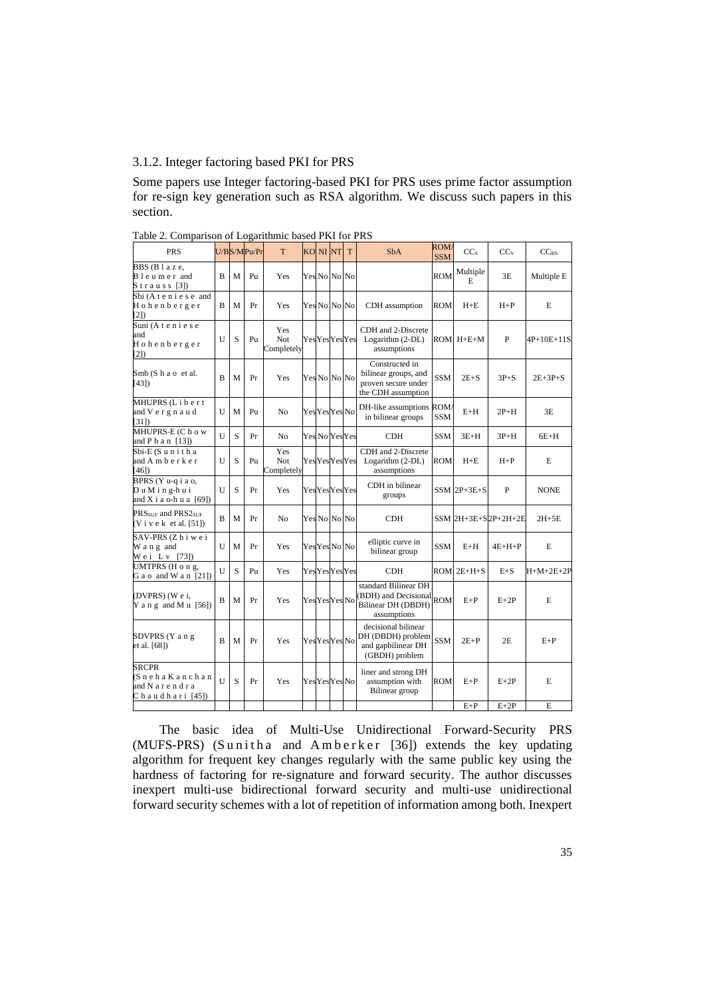## 3.1.2. Integer factoring based PKI for PRS

Some papers use Integer factoring-based PKI for PRS uses prime factor assumption for re-sign key generation such as RSA algorithm. We discuss such papers in this section.

| <b>PRS</b>                                                               |              |   | U/BS/MPu/Pr    | T                        | KO NI NT            | T | <b>SbA</b>                                                                            | <b>ROM</b><br><b>SSM</b> | CC <sub>S</sub>          | CCv                 | $CC_{RS}$    |
|--------------------------------------------------------------------------|--------------|---|----------------|--------------------------|---------------------|---|---------------------------------------------------------------------------------------|--------------------------|--------------------------|---------------------|--------------|
| BBS (Blaze,<br>B l e u m e r and<br>Strauss [3])                         | B            | М | Pu             | Yes                      | Yes No No No        |   |                                                                                       | <b>ROM</b>               | Multiple<br>E            | 3E                  | Multiple E   |
| Sbi (A t e n i e s e and<br>Hohenberger<br>$\left(2\right)$              | $\mathbf B$  | M | Pr             | Yes                      | Yes No No No        |   | CDH assumption                                                                        | <b>ROM</b>               | $H + E$                  | $H+P$               | E            |
| Suni (A t e n i e s e<br>and<br>Hohenberger<br>[2]                       | U            | S | Pu             | Yes<br>Not<br>Completely | <b>YesYesYesYes</b> |   | CDH and 2-Discrete<br>Logarithm (2-DL)<br>assumptions                                 |                          | $ROM$ $H+E+M$            | P                   | $4P+10E+11S$ |
| Smb (S h a o et al.<br>[43]                                              | B            | M | Pr             | Yes                      | Yes No No No        |   | Constructed in<br>bilinear groups, and<br>proven secure under<br>the CDH assumption   | SSM                      | $2E + S$                 | $3P + S$            | $2E+3P+S$    |
| MHUPRS (Libert<br>and V e r g n a u d<br>[31]                            | U            | M | Pu             | N <sub>0</sub>           | Yes Yes Yes No      |   | DH-like assumptions ROM/<br>in bilinear groups                                        | <b>SSM</b>               | $E+H$                    | $2P+H$              | 3E           |
| MHUPRS-E (C h o w<br>and P $h$ a n $[13]$ )                              | U            | S | Pr             | No                       | Yes No Yes Yes      |   | CDH                                                                                   | SSM                      | $3E+H$                   | $3P+H$              | $6E+H$       |
| Sbi-E (Sunitha<br>and A m b e r k e r<br>[46]                            | U            | S | P <sub>U</sub> | Yes<br>Not<br>Completely | <b>YesYesYesYes</b> |   | CDH and 2-Discrete<br>Logarithm (2-DL)<br>assumptions                                 | <b>ROM</b>               | $H + E$                  | $H + P$             | E            |
| BPRS (Y u-q i a o,<br>Du Ming-hui<br>and X i a o-h u a $[69]$            | U            | S | Pr             | Yes                      | <b>YesYesYesYes</b> |   | CDH in bilinear<br>groups                                                             |                          | $SSM$ <sub>2P+3E+S</sub> | P                   | <b>NONE</b>  |
| PRSSUE and PRS2sUE<br>$(V$ i v e k et al. [51])                          | B            | M | Pr             | N <sub>o</sub>           | Yes No No No        |   | <b>CDH</b>                                                                            |                          |                          | SSM 2H+3E+S2P+2H+2E | $2H + 5E$    |
| SAV-PRS (Zhiwei<br>W a n g and<br>Wei Lv [73])                           | $\mathbf{U}$ | М | Pr             | Yes                      | Yes Yes No No       |   | elliptic curve in<br>bilinear group                                                   | <b>SSM</b>               | $E+H$                    | $4E+H+P$            | E            |
| UMTPRS (H o n g,<br>$Ga$ o and $W$ a n $[21]$                            | $\mathbf{U}$ | S | Pu             | Yes                      | YesYesYesYes        |   | <b>CDH</b>                                                                            |                          | $ROM$ $2E+H+S$           | $E + S$             | $H+M+2E+2P$  |
| (DVPRS) (We i,<br>Y a n g and M u $[56]$                                 | $\mathbf B$  | M | Pr             | Yes                      | Yes Yes Yes No      |   | standard Bilinear DH<br>(BDH) and Decisional ROM<br>Bilinear DH (DBDH)<br>assumptions |                          | $E+P$                    | $E+2P$              | E            |
| SDVPRS (Y a n g<br>et al. [68])                                          | B            | М | Pr             | Yes                      | Yes Yes Yes No      |   | decisional bilinear<br>DH (DBDH) problem<br>and gapbilinear DH<br>(GBDH) problem      | <b>SSM</b>               | $2E+P$                   | 2E                  | $E+P$        |
| <b>SRCPR</b><br>(Sneha Kanchan<br>and N a r e n d r a<br>Chaudhari [45]) | U            | S | Pr             | Yes                      | YesYesYesNo         |   | liner and strong DH<br>assumption with<br>Bilinear group                              | <b>ROM</b>               | $E+P$                    | $E+2P$              | E            |
|                                                                          |              |   |                |                          |                     |   |                                                                                       |                          | $E+P$                    | $E+2P$              | E            |

Table 2. Comparison of Logarithmic based PKI for PRS

The basic idea of Multi-Use Unidirectional Forward-Security PRS (MUFS-PRS) (Sunitha and Amberker [36]) extends the key updating algorithm for frequent key changes regularly with the same public key using the hardness of factoring for re-signature and forward security. The author discusses inexpert multi-use bidirectional forward security and multi-use unidirectional forward security schemes with a lot of repetition of information among both. Inexpert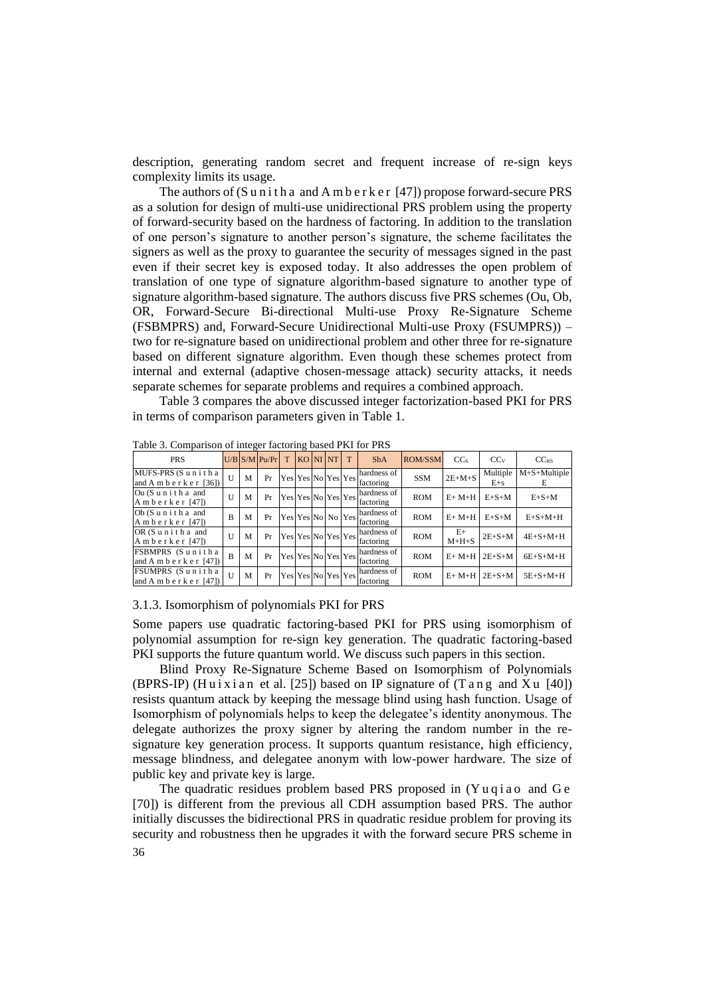description, generating random secret and frequent increase of re-sign keys complexity limits its usage.

The authors of  $(S$  u n i t h a and A m b e r k e r  $[47]$ ) propose forward-secure PRS as a solution for design of multi-use unidirectional PRS problem using the property of forward-security based on the hardness of factoring. In addition to the translation of one person's signature to another person's signature, the scheme facilitates the signers as well as the proxy to guarantee the security of messages signed in the past even if their secret key is exposed today. It also addresses the open problem of translation of one type of signature algorithm-based signature to another type of signature algorithm-based signature. The authors discuss five PRS schemes (Ou, Ob, OR, Forward-Secure Bi-directional Multi-use Proxy Re-Signature Scheme (FSBMPRS) and, Forward-Secure Unidirectional Multi-use Proxy (FSUMPRS)) – two for re-signature based on unidirectional problem and other three for re-signature based on different signature algorithm. Even though these schemes protect from internal and external (adaptive chosen-message attack) security attacks, it needs separate schemes for separate problems and requires a combined approach.

Table 3 compares the above discussed integer factorization-based PKI for PRS in terms of comparison parameters given in Table 1.

| <b>PRS</b>                                       |              |   | $U/B$ S/M $Pu/Pr$ | T |  | KO NI NT           | T | <b>S<sub>b</sub></b> A                                       | <b>ROM/SSM</b> | CC <sub>s</sub> | CCv                 | $CC_{RS}$           |
|--------------------------------------------------|--------------|---|-------------------|---|--|--------------------|---|--------------------------------------------------------------|----------------|-----------------|---------------------|---------------------|
| MUFS-PRS (Sunithal<br>and A m b e r k e r $[36]$ | U            | M | Pr                |   |  |                    |   | hardness of<br>$ Yes Yes No Yes Yes $<br>$ Yes $<br>$ Test $ | <b>SSM</b>     | $2E+M+S$        | Multiple<br>$E + s$ | $M+S+Multiple$<br>E |
| Ou (Sunitha and<br>Amberker $[47]$               | $\mathbf{U}$ | M | Pr                |   |  | Yes Yes No Yes Yes |   | hardness of<br>factoring                                     | <b>ROM</b>     | $E+M+H$         | $E + S + M$         | $E+S+M$             |
| Ob (Sunitha and<br>Amberker $[47]$               | B            | M | Pr                |   |  |                    |   | hardness of<br>IYes Yes No No Yes factoring                  | <b>ROM</b>     | $E+M+H$         | $E + S + M$         | $E + S + M + H$     |
| OR (Sunitha and<br>Amberker $[47]$               | $\mathbf{U}$ | M | Pr                |   |  | Yes Yes No Yes Yes |   | hardness of<br>factoring                                     | <b>ROM</b>     | $E+$<br>$M+H+S$ | $2E + S + M$        | $4E+S+M+H$          |
| FSBMPRS (Sunithal<br>and A m b e r k e r $[47]$  | B            | M | Pr                |   |  | Yes Yes No Yes Yes |   | hardness of<br>factoring                                     | <b>ROM</b>     | $E+M+H$         | $2E+S+M$            | $6E+S+M+H$          |
| FSUMPRS (Sunithal<br>and A m b e r k e r $[47]$  | U            | M | Pr                |   |  |                    |   | hardness of<br>$ Yes Yes No Yes Yes $ $[Factoring]$          | <b>ROM</b>     | $E+M+H$         | $2E + S + M$        | $5E+ S+ M+ H$       |

Table 3. Comparison of integer factoring based PKI for PRS

#### 3.1.3. Isomorphism of polynomials PKI for PRS

Some papers use quadratic factoring-based PKI for PRS using isomorphism of polynomial assumption for re-sign key generation. The quadratic factoring-based PKI supports the future quantum world. We discuss such papers in this section.

Blind Proxy Re-Signature Scheme Based on Isomorphism of Polynomials (BPRS-IP) (Huixian et al. [25]) based on IP signature of  $(T \text{ an g and } Xu$  [40]) resists quantum attack by keeping the message blind using hash function. Usage of Isomorphism of polynomials helps to keep the delegatee's identity anonymous. The delegate authorizes the proxy signer by altering the random number in the resignature key generation process. It supports quantum resistance, high efficiency, message blindness, and delegatee anonym with low-power hardware. The size of public key and private key is large.

36 The quadratic residues problem based PRS proposed in  $(Yuqiao)$  and  $Ge$ [70]) is different from the previous all CDH assumption based PRS. The author initially discusses the bidirectional PRS in quadratic residue problem for proving its security and robustness then he upgrades it with the forward secure PRS scheme in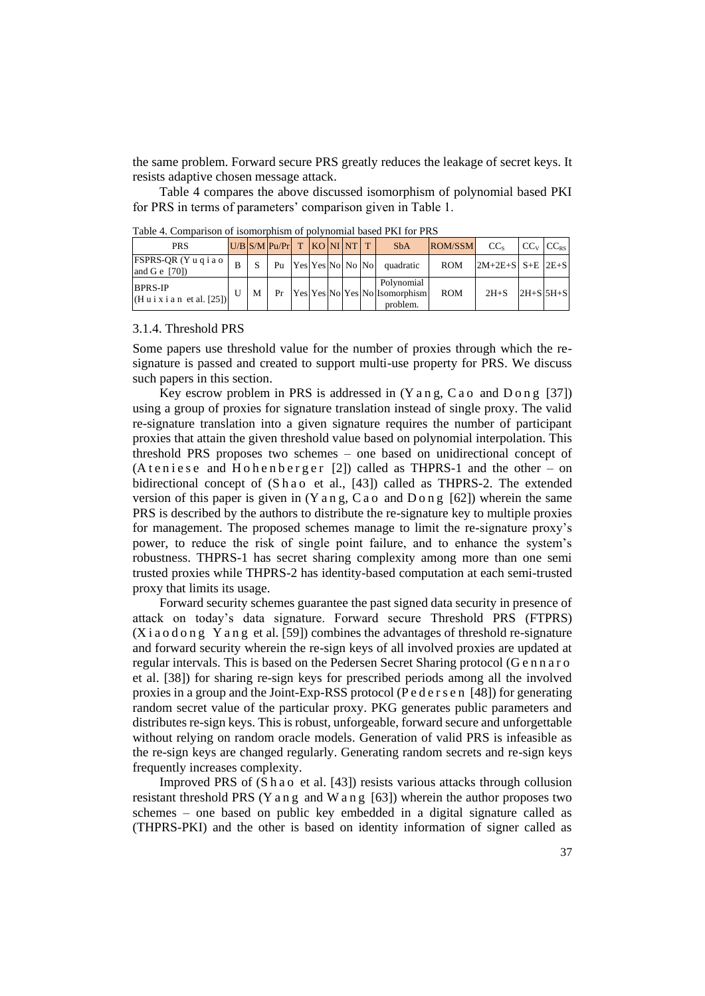the same problem. Forward secure PRS greatly reduces the leakage of secret keys. It resists adaptive chosen message attack.

Table 4 compares the above discussed isomorphism of polynomial based PKI for PRS in terms of parameters' comparison given in Table 1.

PRS  $\text{U/B}$  S/M  $\text{Pu/Pr}$  T  $\text{KO}$  NI NT T SbA ROM/SSM  $\text{CC}_{\text{s}}$   $\text{CC}_{\text{v}}$   $\text{CC}_{\text{ex}}$ FSPRS-QR (Y u q i a o and G e [70])  $\mathbf{B}$  S Pu Yes Yes No No No quadratic ROM 2M+2E+S S+E 2E+S BPRS-IP (H u i x i a n et al. [25]) U | M | Pr | Yes Yes No Yes No Polynomial Isomorphism problem ROM  $2H+S$   $2H+S$   $5H+S$ 

Table 4. Comparison of isomorphism of polynomial based PKI for PRS

#### 3.1.4. Threshold PRS

Some papers use threshold value for the number of proxies through which the resignature is passed and created to support multi-use property for PRS. We discuss such papers in this section.

Key escrow problem in PRS is addressed in  $(Y \text{ an } g, C \text{ a } o \text{ and } D \text{ on } g$  [37]) using a group of proxies for signature translation instead of single proxy. The valid re-signature translation into a given signature requires the number of participant proxies that attain the given threshold value based on polynomial interpolation. This threshold PRS proposes two schemes – one based on unidirectional concept of (A t e n i e s e and H o h e n b e r g e r [2]) called as THPRS-1 and the other – on bidirectional concept of (S h a o et al., [43]) called as THPRS-2. The extended version of this paper is given in  $(Y \text{a n g}, C \text{a o} \text{ and } D \text{o n g } [62])$  wherein the same PRS is described by the authors to distribute the re-signature key to multiple proxies for management. The proposed schemes manage to limit the re-signature proxy's power, to reduce the risk of single point failure, and to enhance the system's robustness. THPRS-1 has secret sharing complexity among more than one semi trusted proxies while THPRS-2 has identity-based computation at each semi-trusted proxy that limits its usage.

Forward security schemes guarantee the past signed data security in presence of attack on today's data signature. Forward secure Threshold PRS (FTPRS)  $(X$ i a o d o n g Y a n g et al. [59]) combines the advantages of threshold re-signature and forward security wherein the re-sign keys of all involved proxies are updated at regular intervals. This is based on the Pedersen Secret Sharing protocol (G e n n a r o et al. [38]) for sharing re-sign keys for prescribed periods among all the involved proxies in a group and the Joint-Exp-RSS protocol (P e d e r s e n [48]) for generating random secret value of the particular proxy. PKG generates public parameters and distributes re-sign keys. This is robust, unforgeable, forward secure and unforgettable without relying on random oracle models. Generation of valid PRS is infeasible as the re-sign keys are changed regularly. Generating random secrets and re-sign keys frequently increases complexity.

Improved PRS of (S h a o et al. [43]) resists various attacks through collusion resistant threshold PRS (Y a n g and W a n g  $[63]$ ) wherein the author proposes two schemes – one based on public key embedded in a digital signature called as (THPRS-PKI) and the other is based on identity information of signer called as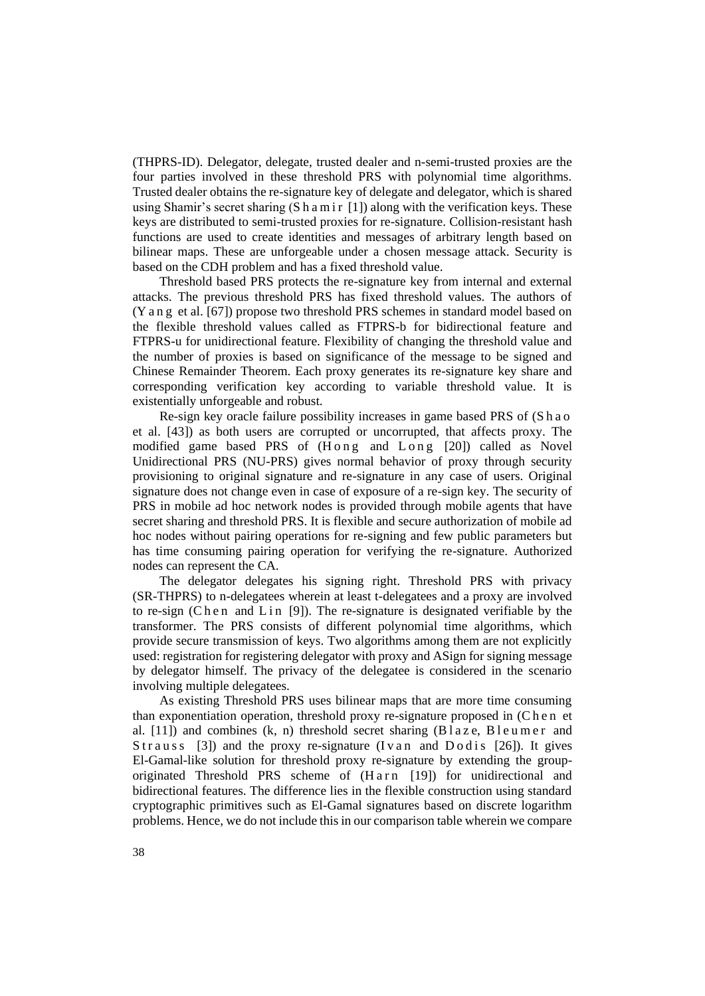(THPRS-ID). Delegator, delegate, trusted dealer and n-semi-trusted proxies are the four parties involved in these threshold PRS with polynomial time algorithms. Trusted dealer obtains the re-signature key of delegate and delegator, which is shared using Shamir's secret sharing  $(S \, h \, a \, m \, i \, r \, l \, l)$  along with the verification keys. These keys are distributed to semi-trusted proxies for re-signature. Collision-resistant hash functions are used to create identities and messages of arbitrary length based on bilinear maps. These are unforgeable under a chosen message attack. Security is based on the CDH problem and has a fixed threshold value.

Threshold based PRS protects the re-signature key from internal and external attacks. The previous threshold PRS has fixed threshold values. The authors of (Y a n g et al. [67]) propose two threshold PRS schemes in standard model based on the flexible threshold values called as FTPRS-b for bidirectional feature and FTPRS-u for unidirectional feature. Flexibility of changing the threshold value and the number of proxies is based on significance of the message to be signed and Chinese Remainder Theorem. Each proxy generates its re-signature key share and corresponding verification key according to variable threshold value. It is existentially unforgeable and robust.

Re-sign key oracle failure possibility increases in game based PRS of (S h a o et al. [43]) as both users are corrupted or uncorrupted, that affects proxy. The modified game based PRS of (H o n g and L o n g [20]) called as Novel Unidirectional PRS (NU-PRS) gives normal behavior of proxy through security provisioning to original signature and re-signature in any case of users. Original signature does not change even in case of exposure of a re-sign key. The security of PRS in mobile ad hoc network nodes is provided through mobile agents that have secret sharing and threshold PRS. It is flexible and secure authorization of mobile ad hoc nodes without pairing operations for re-signing and few public parameters but has time consuming pairing operation for verifying the re-signature. Authorized nodes can represent the CA.

The delegator delegates his signing right. Threshold PRS with privacy (SR-THPRS) to n-delegatees wherein at least t-delegatees and a proxy are involved to re-sign (C h e n and L in [9]). The re-signature is designated verifiable by the transformer. The PRS consists of different polynomial time algorithms, which provide secure transmission of keys. Two algorithms among them are not explicitly used: registration for registering delegator with proxy and ASign for signing message by delegator himself. The privacy of the delegatee is considered in the scenario involving multiple delegatees.

As existing Threshold PRS uses bilinear maps that are more time consuming than exponentiation operation, threshold proxy re-signature proposed in (Chen et al.  $[11]$ ) and combines (k, n) threshold secret sharing (Blaze, Bleumer and Strauss [3]) and the proxy re-signature (Iv an and D o d is [26]). It gives El-Gamal-like solution for threshold proxy re-signature by extending the grouporiginated Threshold PRS scheme of (Harn [19]) for unidirectional and bidirectional features. The difference lies in the flexible construction using standard cryptographic primitives such as El-Gamal signatures based on discrete logarithm problems. Hence, we do not include this in our comparison table wherein we compare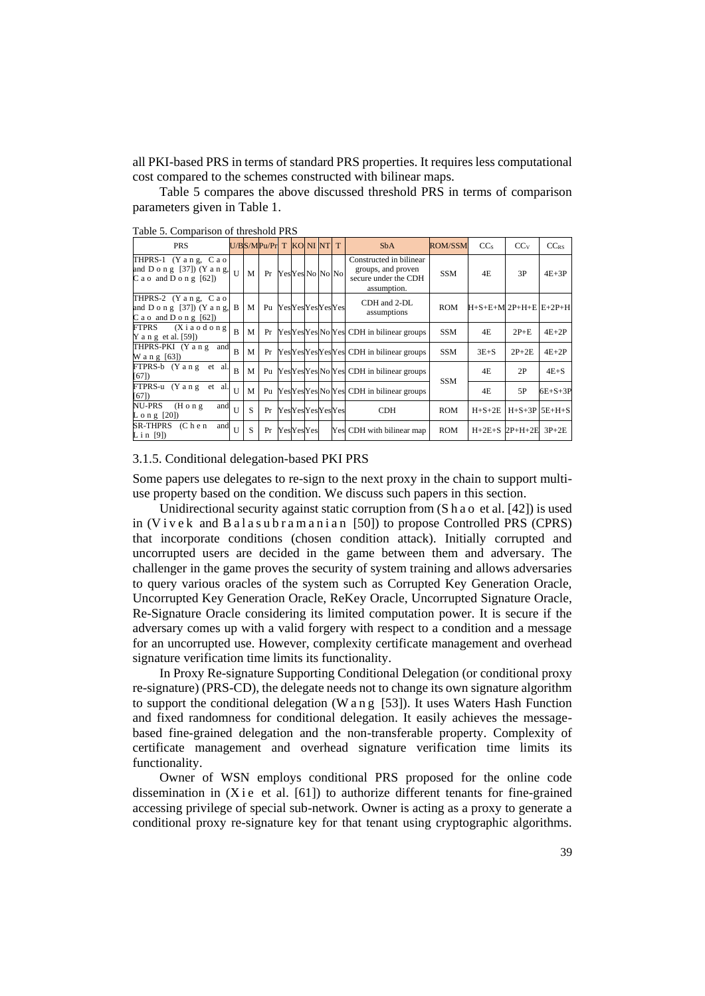all PKI-based PRS in terms of standard PRS properties. It requires less computational cost compared to the schemes constructed with bilinear maps.

Table 5 compares the above discussed threshold PRS in terms of comparison parameters given in Table 1.

| raone 9. Comparison or uneshold river                                                            |                |   |                        |  |                  |  |  |                        |                                                                                      |                |                                     |                     |           |
|--------------------------------------------------------------------------------------------------|----------------|---|------------------------|--|------------------|--|--|------------------------|--------------------------------------------------------------------------------------|----------------|-------------------------------------|---------------------|-----------|
| <b>PRS</b>                                                                                       |                |   | U/BS/MPu/Pr T KONINT T |  |                  |  |  |                        | <b>SbA</b>                                                                           | <b>ROM/SSM</b> | CC <sub>s</sub>                     | CCv                 | $CC_{RS}$ |
| THPRS-1 (Y a n g, C a o<br>and D o n g [37]) (Y a n g, $\vert$ U<br>$C$ a o and $D$ o n g $[62]$ |                | M | Pr                     |  | YesYes No No No  |  |  |                        | Constructed in bilinear<br>groups, and proven<br>secure under the CDH<br>assumption. | SSM            | 4E                                  | 3P                  | $4E+3P$   |
| THPRS-2 (Yang, Cao)<br>and $D \circ n g$ [37]) (Y a n g, B<br>C a o and D o n g $[62]$           |                | M | P <sub>U</sub>         |  |                  |  |  | <b>YesYesYesYesYes</b> | CDH and 2-DL<br>assumptions                                                          | <b>ROM</b>     | $H + S + E + M$ 2P+H+E $E + 2P + H$ |                     |           |
| $(X$ i a o d o n g<br>FTPRS<br>Y a n g et al. $[59]$                                             | $\mathbf{R}$   | M | Pr                     |  |                  |  |  |                        | YesYesYes No Yes CDH in bilinear groups                                              | SSM            | 4E                                  | $2P+E$              | $4E+2P$   |
| THPRS-PKI (Y a n g and<br>W a n g [63])                                                          | $\overline{B}$ | M | Pr                     |  |                  |  |  |                        | YesYesYesYesYes CDH in bilinear groups                                               | SSM            | $3E + S$                            | $2P+2E$             | $4E+2P$   |
| FTPRS-b (Y a n g et al.<br>[67]                                                                  | $\overline{B}$ | M | Pu                     |  |                  |  |  |                        | YesYesYesNo Yes CDH in bilinear groups                                               |                | 4E                                  | 2P                  | $4E + S$  |
| FTPRS-u (Y a n g et al.<br>[67]                                                                  | $\mathbf{U}$   | M | Pu                     |  |                  |  |  |                        | YesYesYesNo Yes CDH in bilinear groups                                               | SSM            | 4E                                  | 5P                  | $6E+S+3P$ |
| NU-PRS<br>$(H \circ n g)$<br>and<br>$L \circ n g$ [20])                                          | $\mathbf{I}$   | S | Pr                     |  |                  |  |  | YesYesYesYesYes        | <b>CDH</b>                                                                           | <b>ROM</b>     | $H + S + 2E$                        | $H + S + 3P$ 5E+H+S |           |
| SR-THPRS<br>(C h e n<br>and<br>Lin [9])                                                          | $\mathbf{U}$   | S | Pr                     |  | <b>YesYesYes</b> |  |  |                        | Yes CDH with bilinear map                                                            | <b>ROM</b>     | $H+2E+S$ $2P+H+2E$                  |                     | $3P+2E$   |

Table 5. Comparison of threshold PRS

#### 3.1.5. Conditional delegation-based PKI PRS

Some papers use delegates to re-sign to the next proxy in the chain to support multiuse property based on the condition. We discuss such papers in this section.

Unidirectional security against static corruption from (S h a o et al. [42]) is used in (Vivek and Balasubramanian [50]) to propose Controlled PRS (CPRS) that incorporate conditions (chosen condition attack). Initially corrupted and uncorrupted users are decided in the game between them and adversary. The challenger in the game proves the security of system training and allows adversaries to query various oracles of the system such as Corrupted Key Generation Oracle, Uncorrupted Key Generation Oracle, ReKey Oracle, Uncorrupted Signature Oracle, Re-Signature Oracle considering its limited computation power. It is secure if the adversary comes up with a valid forgery with respect to a condition and a message for an uncorrupted use. However, complexity certificate management and overhead signature verification time limits its functionality.

In Proxy Re-signature Supporting Conditional Delegation (or conditional proxy re-signature) (PRS-CD), the delegate needs not to change its own signature algorithm to support the conditional delegation (W a n g [53]). It uses Waters Hash Function and fixed randomness for conditional delegation. It easily achieves the messagebased fine-grained delegation and the non-transferable property. Complexity of certificate management and overhead signature verification time limits its functionality.

Owner of WSN employs conditional PRS proposed for the online code dissemination in  $(X$  i e et al. [61]) to authorize different tenants for fine-grained accessing privilege of special sub-network. Owner is acting as a proxy to generate a conditional proxy re-signature key for that tenant using cryptographic algorithms.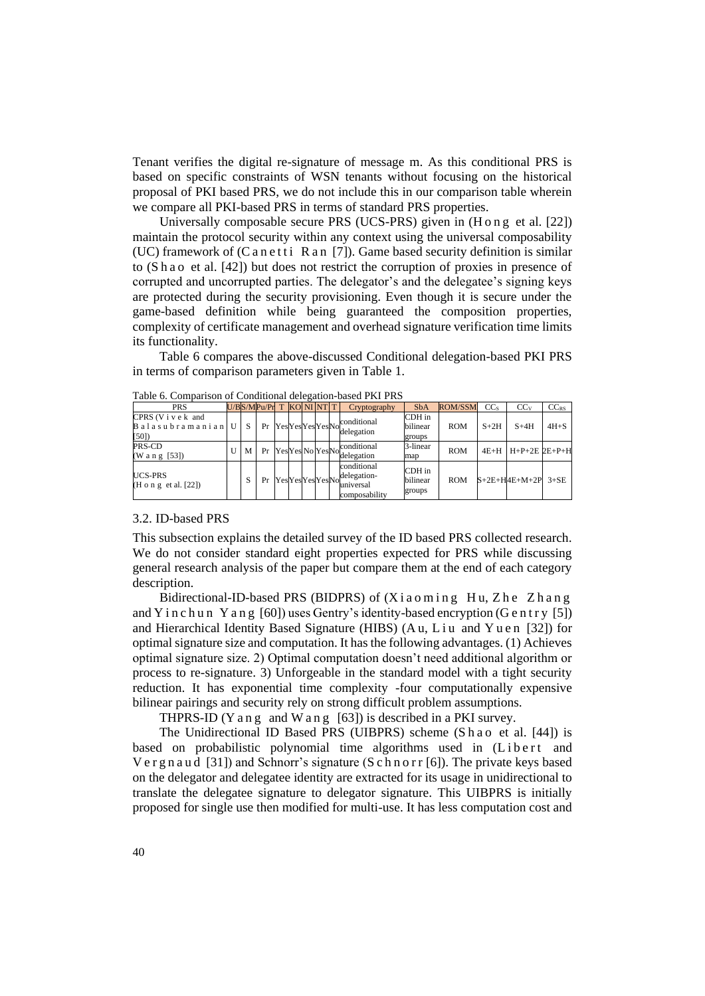Tenant verifies the digital re-signature of message m. As this conditional PRS is based on specific constraints of WSN tenants without focusing on the historical proposal of PKI based PRS, we do not include this in our comparison table wherein we compare all PKI-based PRS in terms of standard PRS properties.

Universally composable secure PRS (UCS-PRS) given in (H o n g et al. [22]) maintain the protocol security within any context using the universal composability (UC) framework of  $(C$  a n e t t i R a n [7]). Game based security definition is similar to (S h a o et al. [42]) but does not restrict the corruption of proxies in presence of corrupted and uncorrupted parties. The delegator's and the delegatee's signing keys are protected during the security provisioning. Even though it is secure under the game-based definition while being guaranteed the composition properties, complexity of certificate management and overhead signature verification time limits its functionality.

Table 6 compares the above-discussed Conditional delegation-based PKI PRS in terms of comparison parameters given in Table 1.

| <b>PRS</b>                                        |   |   | U/BS/MPu/Pr T | KO NI NT T     |  | Cryptography                                             | <b>SbA</b>                   | <b>ROM/SSM</b> | CC <sub>s</sub> | CCv                      | $CC_{RS}$ |
|---------------------------------------------------|---|---|---------------|----------------|--|----------------------------------------------------------|------------------------------|----------------|-----------------|--------------------------|-----------|
| CPRS (Vivek and<br><b>Balasubramanian</b><br>[50] |   | S | Pr            |                |  | conditional<br>Yes <sub>YesYes</sub> YesNow              | CDH in<br>bilinear<br>groups | <b>ROM</b>     | $S+2H$          | $S+4H$                   | $4H + S$  |
| PRS-CD<br>(Wang [53])                             | U | M | Pr            |                |  | Yes Yes No Yes No Community                              | 3-linear<br>map              | <b>ROM</b>     |                 | $4E+H$ $H+P+2E$ $2E+P+H$ |           |
| <b>UCS-PRS</b><br>(H o n g et al. [22])           |   | S | Pr            | YesYesYesYesNo |  | conditional<br>delegation-<br>universal<br>composability | CDH in<br>bilinear<br>groups | <b>ROM</b>     |                 | $S+2E+H4E+M+2P$ 3+SE     |           |

Table 6. Comparison of Conditional delegation-based PKI PRS

#### 3.2. ID-based PRS

This subsection explains the detailed survey of the ID based PRS collected research. We do not consider standard eight properties expected for PRS while discussing general research analysis of the paper but compare them at the end of each category description.

Bidirectional-ID-based PRS (BIDPRS) of (Xiaoming Hu, Zhe Zhang and Y i n c h u n Y a n g  $[60]$ ) uses Gentry's identity-based encryption (G e n t r y  $[5]$ ) and Hierarchical Identity Based Signature (HIBS)  $(A, u, L, i, u)$  and Y u e n [32]) for optimal signature size and computation. It has the following advantages. (1) Achieves optimal signature size. 2) Optimal computation doesn't need additional algorithm or process to re-signature. 3) Unforgeable in the standard model with a tight security reduction. It has exponential time complexity -four computationally expensive bilinear pairings and security rely on strong difficult problem assumptions.

THPRS-ID (Y a n g and W a n g  $[63]$ ) is described in a PKI survey.

The Unidirectional ID Based PRS (UIBPRS) scheme (S h a o et al. [44]) is based on probabilistic polynomial time algorithms used in (Libert and V e r g n a u d  $[31]$ ) and Schnorr's signature (S c h n o r r  $[6]$ ). The private keys based on the delegator and delegatee identity are extracted for its usage in unidirectional to translate the delegatee signature to delegator signature. This UIBPRS is initially proposed for single use then modified for multi-use. It has less computation cost and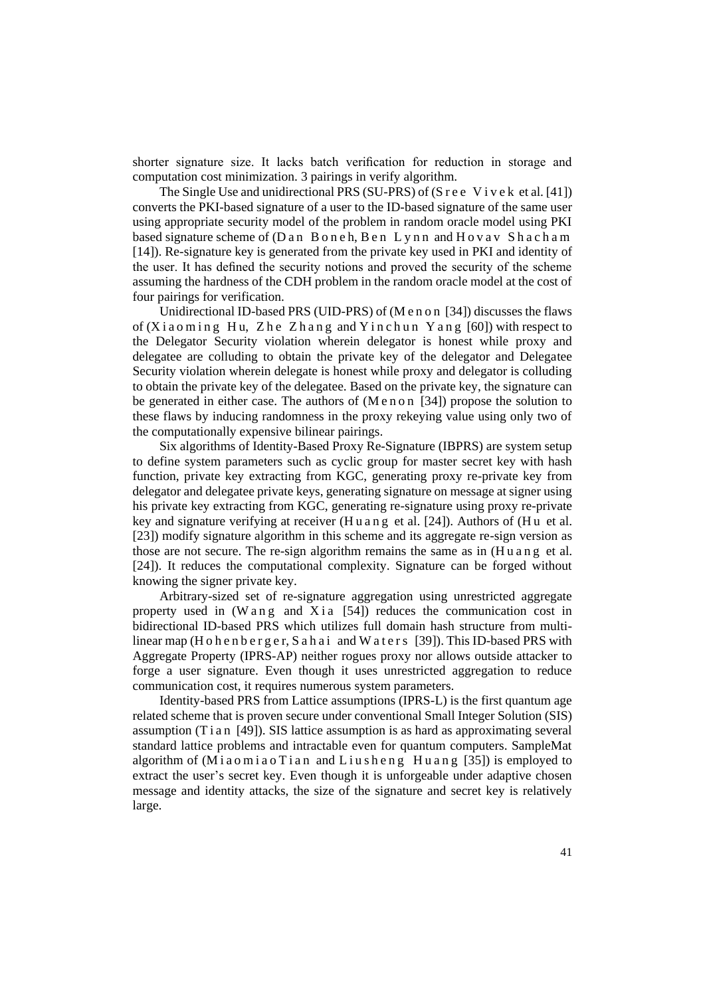shorter signature size. It lacks batch verification for reduction in storage and computation cost minimization. 3 pairings in verify algorithm.

The Single Use and unidirectional PRS (SU-PRS) of  $(S \rvert e \rvert V)$  ive k et al. [41]) converts the PKI-based signature of a user to the ID-based signature of the same user using appropriate security model of the problem in random oracle model using PKI based signature scheme of  $(Dan B \circ neh, Ben Lynn and Hovav Shacham)$ [14]). Re-signature key is generated from the private key used in PKI and identity of the user. It has defined the security notions and proved the security of the scheme assuming the hardness of the CDH problem in the random oracle model at the cost of four pairings for verification.

Unidirectional ID-based PRS (UID-PRS) of (M e n o n [34]) discusses the flaws of  $(X$ i a o ming Hu, Zhe Zhang and Yinchun Yang  $[60]$ ) with respect to the Delegator Security violation wherein delegator is honest while proxy and delegatee are colluding to obtain the private key of the delegator and Delegatee Security violation wherein delegate is honest while proxy and delegator is colluding to obtain the private key of the delegatee. Based on the private key, the signature can be generated in either case. The authors of  $(M \nvert 0 \nvert 34)$  propose the solution to these flaws by inducing randomness in the proxy rekeying value using only two of the computationally expensive bilinear pairings.

Six algorithms of Identity-Based Proxy Re-Signature (IBPRS) are system setup to define system parameters such as cyclic group for master secret key with hash function, private key extracting from KGC, generating proxy re-private key from delegator and delegatee private keys, generating signature on message at signer using his private key extracting from KGC, generating re-signature using proxy re-private key and signature verifying at receiver  $(H u an g et al. [24])$ . Authors of  $(H u et al.$ [23]) modify signature algorithm in this scheme and its aggregate re-sign version as those are not secure. The re-sign algorithm remains the same as in  $(H \, u \, a \, n \, g \, e \, d \, d)$ [24]). It reduces the computational complexity. Signature can be forged without knowing the signer private key.

Arbitrary-sized set of re-signature aggregation using unrestricted aggregate property used in (W a n g and X i a  $[54]$ ) reduces the communication cost in bidirectional ID-based PRS which utilizes full domain hash structure from multilinear map (H o h e n b e r g e r, S a h a i and W a t e r s [39]). This ID-based PRS with Aggregate Property (IPRS-AP) neither rogues proxy nor allows outside attacker to forge a user signature. Even though it uses unrestricted aggregation to reduce communication cost, it requires numerous system parameters.

Identity-based PRS from Lattice assumptions (IPRS-L) is the first quantum age related scheme that is proven secure under conventional Small Integer Solution (SIS) assumption (T i a n [49]). SIS lattice assumption is as hard as approximating several standard lattice problems and intractable even for quantum computers. SampleMat algorithm of  $(Miaomiao Tian$  and Liusheng Huang [35]) is employed to extract the user's secret key. Even though it is unforgeable under adaptive chosen message and identity attacks, the size of the signature and secret key is relatively large.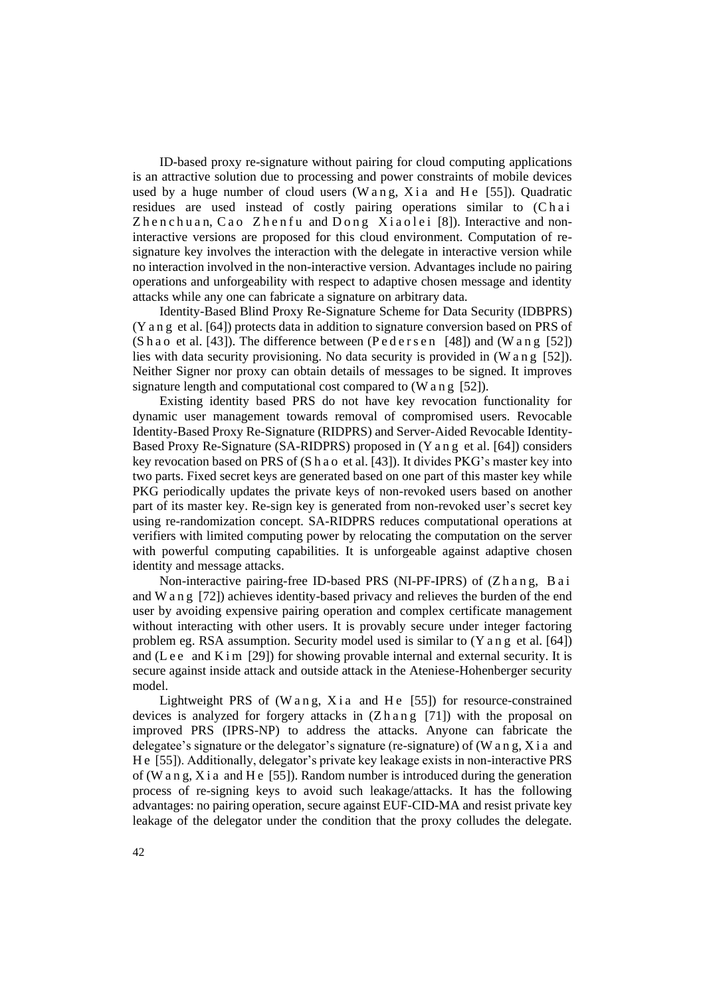ID-based proxy re-signature without pairing for cloud computing applications is an attractive solution due to processing and power constraints of mobile devices used by a huge number of cloud users (W a n g, X i a and H e  $[55]$ ). Quadratic residues are used instead of costly pairing operations similar to (Chai Zhen chuan, Cao Zhen fu and Dong Xiaolei [8]). Interactive and noninteractive versions are proposed for this cloud environment. Computation of resignature key involves the interaction with the delegate in interactive version while no interaction involved in the non-interactive version. Advantages include no pairing operations and unforgeability with respect to adaptive chosen message and identity attacks while any one can fabricate a signature on arbitrary data.

Identity-Based Blind Proxy Re-Signature Scheme for Data Security (IDBPRS) (Y a n g et al. [64]) protects data in addition to signature conversion based on PRS of  $(S \text{ ha o et al. } [43])$ . The difference between  $(P \text{ eder} s \text{ en } [48])$  and  $(W \text{ an g } [52])$ lies with data security provisioning. No data security is provided in  $(W \text{ an g } [52])$ . Neither Signer nor proxy can obtain details of messages to be signed. It improves signature length and computational cost compared to (W a n g [52]).

Existing identity based PRS do not have key revocation functionality for dynamic user management towards removal of compromised users. Revocable Identity-Based Proxy Re-Signature (RIDPRS) and Server-Aided Revocable Identity-Based Proxy Re-Signature (SA-RIDPRS) proposed in (Y a n g et al. [64]) considers key revocation based on PRS of (S h a o et al. [43]). It divides PKG's master key into two parts. Fixed secret keys are generated based on one part of this master key while PKG periodically updates the private keys of non-revoked users based on another part of its master key. Re-sign key is generated from non-revoked user's secret key using re-randomization concept. SA-RIDPRS reduces computational operations at verifiers with limited computing power by relocating the computation on the server with powerful computing capabilities. It is unforgeable against adaptive chosen identity and message attacks.

Non-interactive pairing-free ID-based PRS (NI-PF-IPRS) of (Z h a n g, B a i and W a n g [72]) achieves identity-based privacy and relieves the burden of the end user by avoiding expensive pairing operation and complex certificate management without interacting with other users. It is provably secure under integer factoring problem eg. RSA assumption. Security model used is similar to (Y a n g et al. [64]) and (Lee and K i m [29]) for showing provable internal and external security. It is secure against inside attack and outside attack in the Ateniese-Hohenberger security model.

Lightweight PRS of (W a n g, X i a and H e  $[55]$ ) for resource-constrained devices is analyzed for forgery attacks in  $(Z \cap \{1\})$  with the proposal on improved PRS (IPRS-NP) to address the attacks. Anyone can fabricate the delegatee's signature or the delegator's signature (re-signature) of (W a n g, X i a and H e [55]). Additionally, delegator's private key leakage exists in non-interactive PRS of (W a n g, X i a and H e [55]). Random number is introduced during the generation process of re-signing keys to avoid such leakage/attacks. It has the following advantages: no pairing operation, secure against EUF-CID-MA and resist private key leakage of the delegator under the condition that the proxy colludes the delegate.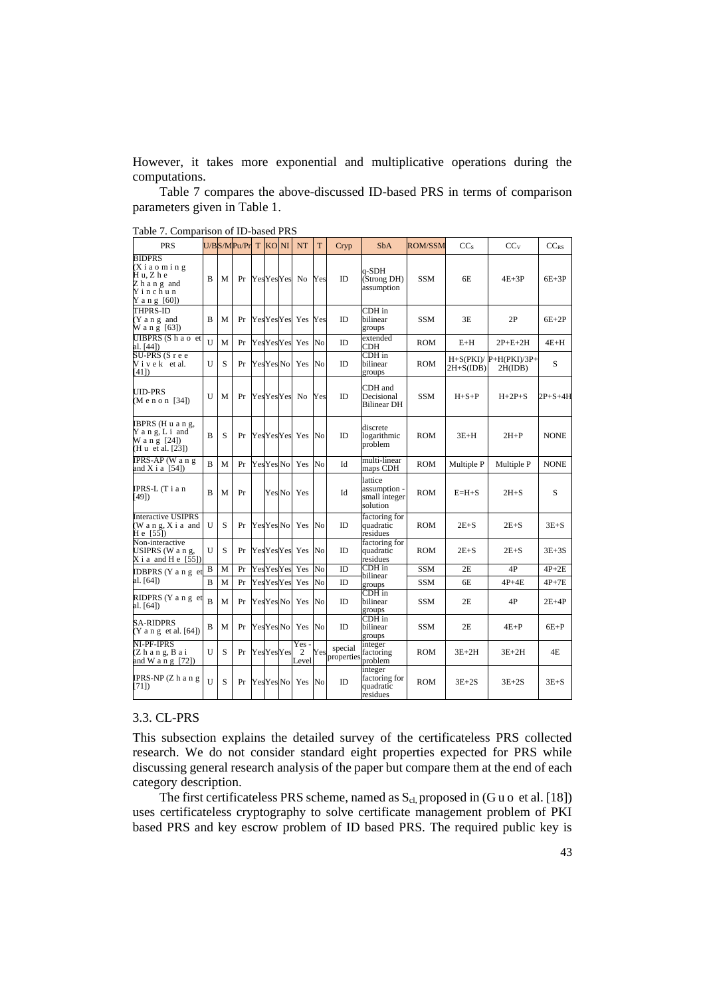However, it takes more exponential and multiplicative operations during the computations.

Table 7 compares the above-discussed ID-based PRS in terms of comparison parameters given in Table 1.

| <b>PRS</b>                                                                  |                |   | U/BS/MPu/Pr T KO NI |  |                   | <b>NT</b>         | T              | Cryp                      | <b>SbA</b>                                           | ROM/SSM    | CC <sub>s</sub> | CC <sub>V</sub>                    | $CC_{RS}$     |
|-----------------------------------------------------------------------------|----------------|---|---------------------|--|-------------------|-------------------|----------------|---------------------------|------------------------------------------------------|------------|-----------------|------------------------------------|---------------|
| <b>BIDPRS</b><br>(Xiaoming<br>Hu, Zhe<br>Zhang and<br>Yinchun<br>Yang [60]) | B              | M | Pr                  |  |                   | YesYesYes No      | Yes            | ID                        | q-SDH<br>(Strong DH)<br>assumption                   | <b>SSM</b> | 6E              | $4E+3P$                            | $6E+3P$       |
| THPRS-ID<br>(Y a n g and<br>W a n g [63])                                   | B              | M | Pr                  |  |                   | YesYesYes Yes     | Yes            | <b>ID</b>                 | CDH in<br>bilinear<br>groups                         | <b>SSM</b> | 3E              | 2P                                 | $6E+2P$       |
| UIBPRS(S hao et<br>al. [44])<br>SU-PRS (S r e e                             | U              | M | Pr                  |  | <b>YesYesYes</b>  | Yes               | N <sub>o</sub> | <b>ID</b>                 | extended<br>CDH                                      | <b>ROM</b> | $E+H$           | $2P+E+2H$                          | $4E+H$        |
| Vivek et al.<br>[41]                                                        | U              | S | Pr                  |  | Yes Yes No        | Yes               | N <sub>o</sub> | ID                        | $CDH$ in<br>bilinear<br>groups                       | <b>ROM</b> | $2H + S(IDB)$   | $H+S(PKI)/P+H(PKI)/3P+$<br>2H(IDB) | S             |
| <b>UID-PRS</b><br>(Menon [34])                                              | U              | M | Pr                  |  |                   | YesYesYes No      | Yes            | ID                        | CDH and<br>Decisional<br><b>Bilinear DH</b>          | <b>SSM</b> | $H + S + P$     | $H+2P+S$                           | $2P + S + 4H$ |
| IBPRS (Huang,<br>Y a n g, L i and<br>W a n g $[24]$<br>(H u et al. [23])    | B              | S | Pr                  |  |                   | YesYesYes Yes     | N <sub>o</sub> | ID                        | discrete<br>logarithmic<br>problem                   | <b>ROM</b> | $3E+H$          | $2H+P$                             | <b>NONE</b>   |
| IPRS-AP (Wang<br>and X i a $[54]$                                           | $\overline{B}$ | M | Pr                  |  | Yes Yes No        | Yes               | N <sub>o</sub> | Id                        | multi-linear<br>maps CDH                             | <b>ROM</b> | Multiple P      | Multiple P                         | <b>NONE</b>   |
| IPRS-L (Tian<br>[49]                                                        | B              | M | Pr                  |  | Yes No            | Yes               |                | Id                        | lattice<br>assumption -<br>small integer<br>solution | <b>ROM</b> | $E=H+S$         | $2H + S$                           | S             |
| <b>Interactive USIPRS</b><br>(W a n g, X i a and<br>H e [55])               | U              | S | Pr                  |  | Yes Yes No        | Yes               | N <sub>0</sub> | ID                        | factoring for<br>quadratic<br>residues               | <b>ROM</b> | $2E+S$          | $2E + S$                           | $3E+S$        |
| Non-interactive<br>USIPRS (W a n g,<br>$X$ i a and H e $[55]$ )             | U              | S | Pr                  |  |                   | YesYesYes Yes     | N <sub>o</sub> | <b>ID</b>                 | factoring for<br>quadratic<br>residues               | ROM        | $2E + S$        | $2E + S$                           | $3E+3S$       |
| IDBPRS (Y a n g et                                                          | B              | M | Pr                  |  | <b>YesYesYes</b>  | Yes               | N <sub>o</sub> | ID                        | $CDH$ in<br>bilinear                                 | <b>SSM</b> | 2E              | 4P                                 | $4P+2E$       |
| al. [64])                                                                   | B              | M | Pr                  |  | <b>YesYesYes</b>  | Yes               | N <sub>o</sub> | ID                        | groups                                               | <b>SSM</b> | 6E              | $4P+4E$                            | $4P+7E$       |
| RIDPRS (Y a n g et<br>al. [64])                                             | $\overline{B}$ | M | Pr                  |  | Yes Yes No        | Yes               | No             | <b>ID</b>                 | $CDH$ in<br>bilinear<br>groups                       | <b>SSM</b> | 2E              | 4P                                 | $2E+4P$       |
| <b>SA-RIDPRS</b><br>$(Y$ a n g et al. $[64]$                                | B              | M | Pr                  |  | Yes Yes No        | Yes               | N <sub>0</sub> | ID                        | CDH in<br>bilinear<br>groups                         | <b>SSM</b> | 2E              | $4E+P$                             | $6E+P$        |
| NI-PF-IPRS<br>(Zhang, Bai<br>and W a n g [72])                              | U              | S | Pr                  |  | <b>Yes</b> YesYes | Yes<br>2<br>Level |                | special<br>Yes properties | integer<br>factoring<br>problem                      | ROM        | $3E+2H$         | $3E+2H$                            | 4E            |
| IPRS-NP (Z h a n g<br>[71]                                                  | $\mathbf{I}$   | S | Pr                  |  | Yes Yes No        | Yes               | No             | <b>ID</b>                 | integer<br>factoring for<br>quadratic<br>residues    | ROM        | $3E+2S$         | $3E+2S$                            | $3E + S$      |

Table 7. Comparison of ID-based PRS

## 3.3. CL-PRS

This subsection explains the detailed survey of the certificateless PRS collected research. We do not consider standard eight properties expected for PRS while discussing general research analysis of the paper but compare them at the end of each category description.

The first certificateless PRS scheme, named as  $S_{cl}$  proposed in (G u o et al. [18]) uses certificateless cryptography to solve certificate management problem of PKI based PRS and key escrow problem of ID based PRS. The required public key is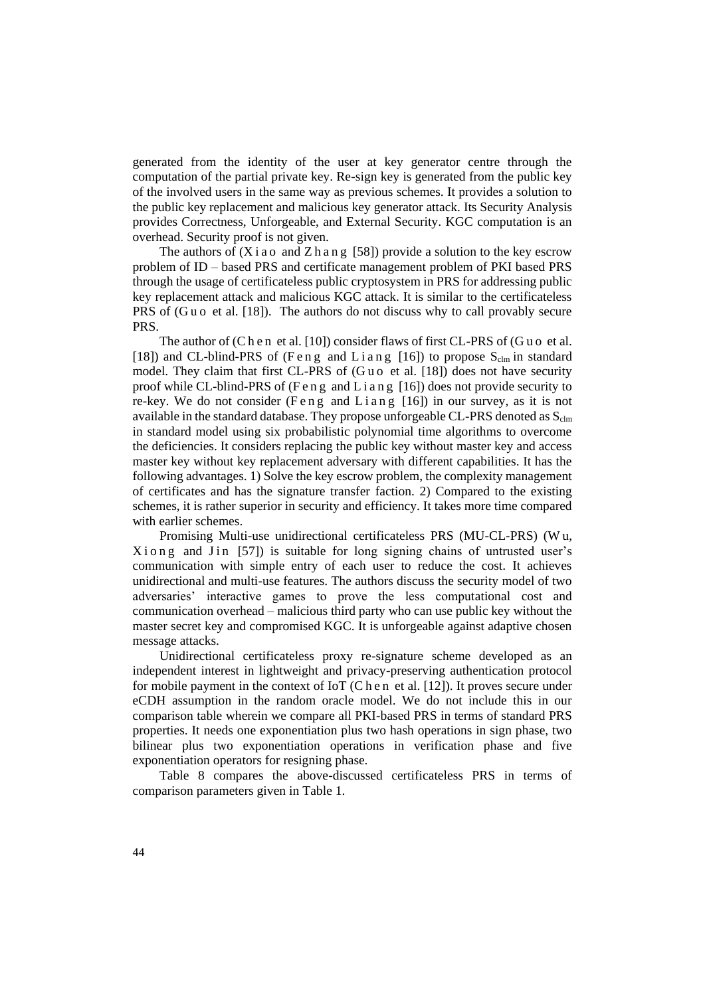generated from the identity of the user at key generator centre through the computation of the partial private key. Re-sign key is generated from the public key of the involved users in the same way as previous schemes. It provides a solution to the public key replacement and malicious key generator attack. Its Security Analysis provides Correctness, Unforgeable, and External Security. KGC computation is an overhead. Security proof is not given.

The authors of  $(Xiao \text{ and } Zha \text{ in } g$  [58]) provide a solution to the key escrow problem of ID – based PRS and certificate management problem of PKI based PRS through the usage of certificateless public cryptosystem in PRS for addressing public key replacement attack and malicious KGC attack. It is similar to the certificateless PRS of (Guo et al. [18]). The authors do not discuss why to call provably secure PRS.

The author of  $(C \, h \, e \, n \, et \, al. [10])$  consider flaws of first CL-PRS of  $(G \, u \, o \, et \, al.$ [18]) and CL-blind-PRS of (Feng and Liang [16]) to propose  $S_{\text{clm}}$  in standard model. They claim that first CL-PRS of (Guo et al. [18]) does not have security proof while CL-blind-PRS of (Fe n g and L i a n g [16]) does not provide security to re-key. We do not consider (Feng and Liang [16]) in our survey, as it is not available in the standard database. They propose unforgeable CL-PRS denoted as  $S_{\text{clm}}$ in standard model using six probabilistic polynomial time algorithms to overcome the deficiencies. It considers replacing the public key without master key and access master key without key replacement adversary with different capabilities. It has the following advantages. 1) Solve the key escrow problem, the complexity management of certificates and has the signature transfer faction. 2) Compared to the existing schemes, it is rather superior in security and efficiency. It takes more time compared with earlier schemes.

Promising Multi-use unidirectional certificateless PRS (MU-CL-PRS) (W u,  $X$ i on g and  $J$  in [57]) is suitable for long signing chains of untrusted user's communication with simple entry of each user to reduce the cost. It achieves unidirectional and multi-use features. The authors discuss the security model of two adversaries' interactive games to prove the less computational cost and communication overhead – malicious third party who can use public key without the master secret key and compromised KGC. It is unforgeable against adaptive chosen message attacks.

Unidirectional certificateless proxy re-signature scheme developed as an independent interest in lightweight and privacy-preserving authentication protocol for mobile payment in the context of IoT (C h e n et al. [12]). It proves secure under eCDH assumption in the random oracle model. We do not include this in our comparison table wherein we compare all PKI-based PRS in terms of standard PRS properties. It needs one exponentiation plus two hash operations in sign phase, two bilinear plus two exponentiation operations in verification phase and five exponentiation operators for resigning phase.

Table 8 compares the above-discussed certificateless PRS in terms of comparison parameters given in Table 1.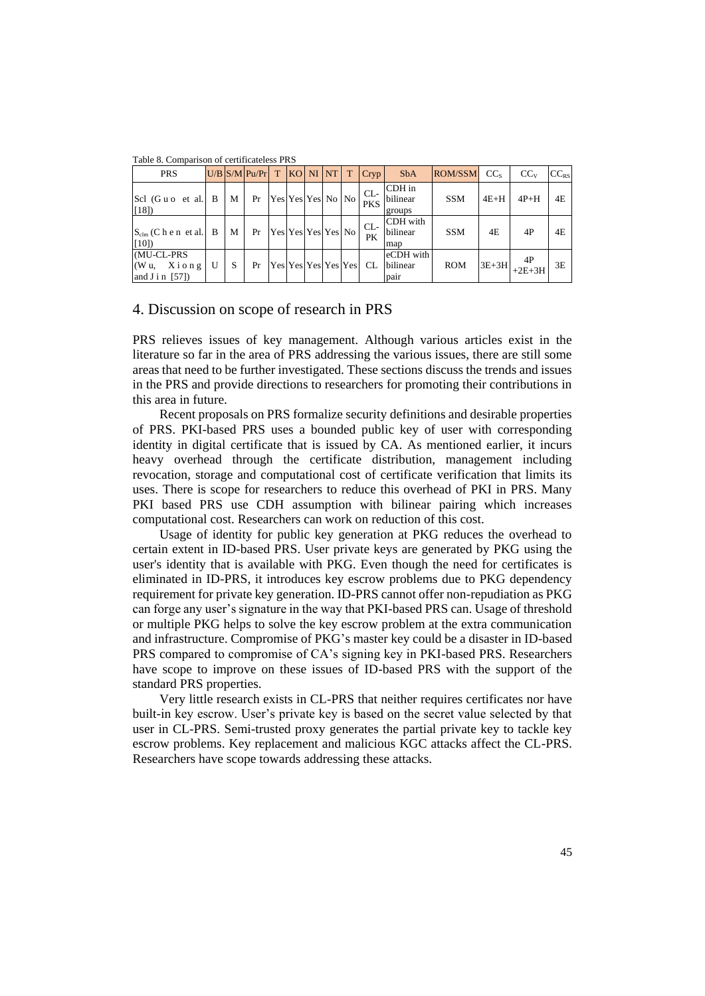| <b>PRS</b>                                      |   |   | $U/B$ S/M Pu/Pr $T$ |  | $ KO $ NI $ NT $ T  |  |  |  | Cryp                | <b>SbA</b>                    | ROM/SSM    | CC <sub>s</sub> | $CC_{V}$       | $CC_{RS}$ |
|-------------------------------------------------|---|---|---------------------|--|---------------------|--|--|--|---------------------|-------------------------------|------------|-----------------|----------------|-----------|
| Scl (Guo et al.<br>[18]                         | B | M | Pr                  |  | Yes Yes Yes No No   |  |  |  | $CL-$<br><b>PKS</b> | CDH in<br>bilinear<br>groups  | <b>SSM</b> | $4E+H$          | $4P+H$         | 4E        |
| $S_{\text{clm}}$ (C h e n et al. B<br>[10]      |   | M | Pr                  |  | Yes Yes Yes Yes No  |  |  |  | $CL-$<br>PK         | CDH with<br>bilinear<br>map   | <b>SSM</b> | 4E              | 4P             | 4E        |
| (MU-CL-PRS<br>(Wu, Xiong)<br>and $J$ i n $[57]$ | U | S | Pr                  |  | Yes Yes Yes Yes Yes |  |  |  | <b>CL</b>           | eCDH with<br>bilinear<br>pair | <b>ROM</b> | $3E+3H$         | 4P<br>$+2E+3H$ | 3E        |

Table 8. Comparison of certificateless PRS

## 4. Discussion on scope of research in PRS

PRS relieves issues of key management. Although various articles exist in the literature so far in the area of PRS addressing the various issues, there are still some areas that need to be further investigated. These sections discuss the trends and issues in the PRS and provide directions to researchers for promoting their contributions in this area in future.

Recent proposals on PRS formalize security definitions and desirable properties of PRS. PKI-based PRS uses a bounded public key of user with corresponding identity in digital certificate that is issued by CA. As mentioned earlier, it incurs heavy overhead through the certificate distribution, management including revocation, storage and computational cost of certificate verification that limits its uses. There is scope for researchers to reduce this overhead of PKI in PRS. Many PKI based PRS use CDH assumption with bilinear pairing which increases computational cost. Researchers can work on reduction of this cost.

Usage of identity for public key generation at PKG reduces the overhead to certain extent in ID-based PRS. User private keys are generated by PKG using the user's identity that is available with PKG. Even though the need for certificates is eliminated in ID-PRS, it introduces key escrow problems due to PKG dependency requirement for private key generation. ID-PRS cannot offer non-repudiation as PKG can forge any user's signature in the way that PKI-based PRS can. Usage of threshold or multiple PKG helps to solve the key escrow problem at the extra communication and infrastructure. Compromise of PKG's master key could be a disaster in ID-based PRS compared to compromise of CA's signing key in PKI-based PRS. Researchers have scope to improve on these issues of ID-based PRS with the support of the standard PRS properties.

Very little research exists in CL-PRS that neither requires certificates nor have built-in key escrow. User's private key is based on the secret value selected by that user in CL-PRS. Semi-trusted proxy generates the partial private key to tackle key escrow problems. Key replacement and malicious KGC attacks affect the CL-PRS. Researchers have scope towards addressing these attacks.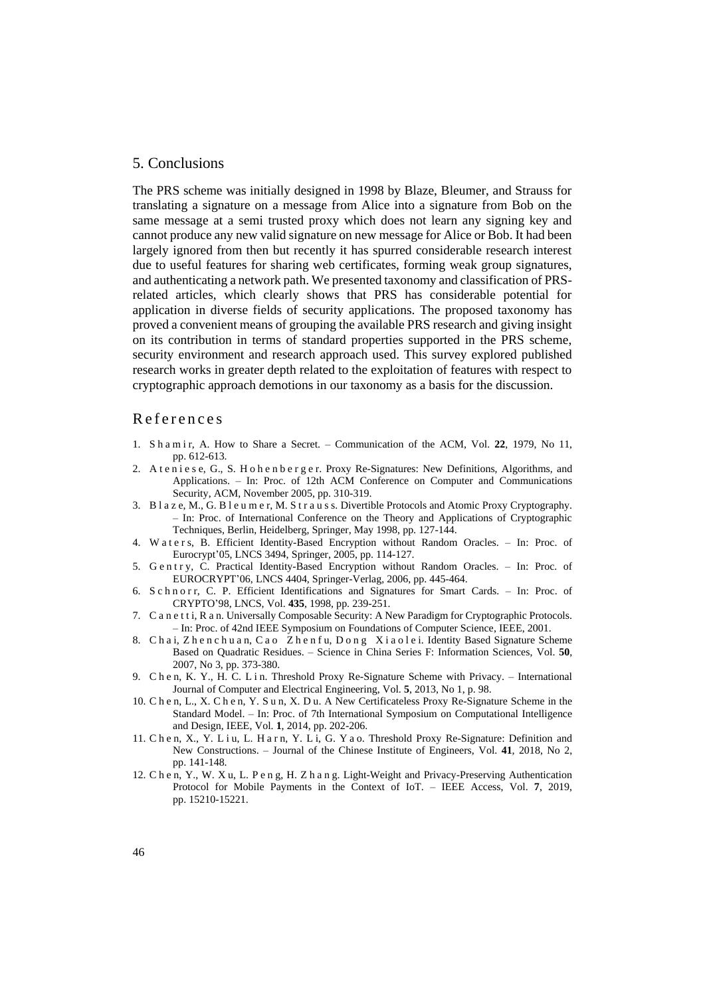## 5. Conclusions

The PRS scheme was initially designed in 1998 by Blaze, Bleumer, and Strauss for translating a signature on a message from Alice into a signature from Bob on the same message at a semi trusted proxy which does not learn any signing key and cannot produce any new valid signature on new message for Alice or Bob. It had been largely ignored from then but recently it has spurred considerable research interest due to useful features for sharing web certificates, forming weak group signatures, and authenticating a network path. We presented taxonomy and classification of PRSrelated articles, which clearly shows that PRS has considerable potential for application in diverse fields of security applications. The proposed taxonomy has proved a convenient means of grouping the available PRS research and giving insight on its contribution in terms of standard properties supported in the PRS scheme, security environment and research approach used. This survey explored published research works in greater depth related to the exploitation of features with respect to cryptographic approach demotions in our taxonomy as a basis for the discussion.

## R e f e r e n c e s

- 1. S h a m i r, A. How to Share a Secret. Communication of the ACM, Vol. **22**, 1979, No 11, pp. 612-613.
- 2. A t e n i e s e, G., S. H o h e n b e r g e r. Proxy Re-Signatures: New Definitions, Algorithms, and Applications. – In: Proc. of 12th ACM Conference on Computer and Communications Security, ACM, November 2005, pp. 310-319.
- 3. B l a z e, M., G. B l e u m e r, M. S t r a u s s. Divertible Protocols and Atomic Proxy Cryptography. – In: Proc. of International Conference on the Theory and Applications of Cryptographic Techniques, Berlin, Heidelberg, Springer, May 1998, pp. 127-144.
- 4. Waters, B. Efficient Identity-Based Encryption without Random Oracles. In: Proc. of Eurocrypt'05, LNCS 3494, Springer, 2005, pp. 114-127.
- 5. Gentry, C. Practical Identity-Based Encryption without Random Oracles. In: Proc. of EUROCRYPT'06, LNCS 4404, Springer-Verlag, 2006, pp. 445-464.
- 6. S c h n o r r, C. P. Efficient Identifications and Signatures for Smart Cards. In: Proc. of CRYPTO'98, LNCS, Vol. **435**, 1998, pp. 239-251.
- 7. C a n e t t i, R a n. Universally Composable Security: A New Paradigm for Cryptographic Protocols. – In: Proc. of 42nd IEEE Symposium on Foundations of Computer Science, IEEE, 2001.
- 8. Chai, Zhen chuan, Cao Zhen fu, Dong Xiaolei. Identity Based Signature Scheme Based on Quadratic Residues. – Science in China Series F: Information Sciences, Vol. **50**, 2007, No 3, pp. 373-380.
- 9. Che n, K. Y., H. C. L i n. Threshold Proxy Re-Signature Scheme with Privacy. International Journal of Computer and Electrical Engineering, Vol. **5**, 2013, No 1, p. 98.
- 10. Che n, L., X. Che n, Y. S u n, X. D u. A New Certificateless Proxy Re-Signature Scheme in the Standard Model. – In: Proc. of 7th International Symposium on Computational Intelligence and Design, IEEE, Vol. **1**, 2014, pp. 202-206.
- 11. Che n, X., Y. L i u, L. H a r n, Y. L i, G. Y a o. Threshold Proxy Re-Signature: Definition and New Constructions. – Journal of the Chinese Institute of Engineers, Vol. **41**, 2018, No 2, pp. 141-148.
- 12. Che n, Y., W. X u, L. P e n g, H. Z h a n g. Light-Weight and Privacy-Preserving Authentication Protocol for Mobile Payments in the Context of IoT. – IEEE Access, Vol. **7**, 2019, pp. 15210-15221.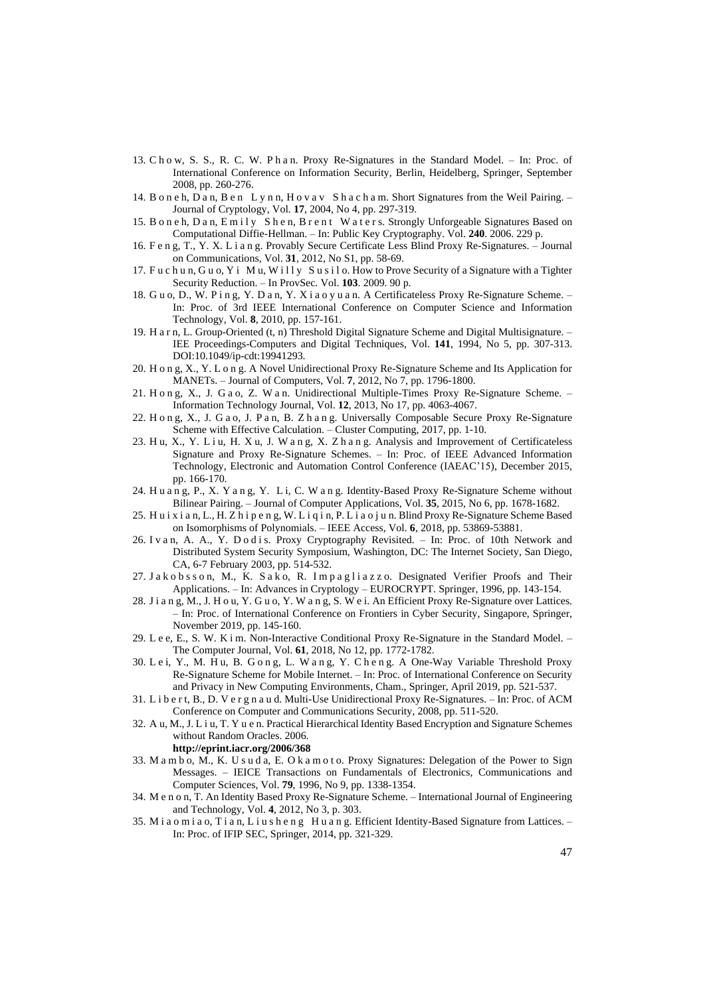- 13. Cho w, S. S., R. C. W. P h a n. Proxy Re-Signatures in the Standard Model. In: Proc. of International Conference on Information Security, Berlin, Heidelberg, Springer, September 2008, pp. 260-276.
- 14. Boneh, Dan, Ben Lynn, Hovav Shacham. Short Signatures from the Weil Pairing. -Journal of Cryptology, Vol. **17**, 2004, No 4, pp. 297-319.
- 15. Boneh, Dan, Emily Shen, Brent Waters. Strongly Unforgeable Signatures Based on Computational Diffie-Hellman. – In: Public Key Cryptography. Vol. **240**. 2006. 229 p.
- 16. F e n g, T., Y. X. Lian g. Provably Secure Certificate Less Blind Proxy Re-Signatures. Journal on Communications, Vol. **31**, 2012, No S1, pp. 58-69.
- 17. Fu c h u n, G u o, Y i M u, W i l l y S u s i l o. How to Prove Security of a Signature with a Tighter Security Reduction. – In ProvSec. Vol. **103**. 2009. 90 p.
- 18. G u o, D., W. P i n g, Y. D a n, Y. X i a o y u a n. A Certificateless Proxy Re-Signature Scheme. In: Proc. of 3rd IEEE International Conference on Computer Science and Information Technology, Vol. **8**, 2010, pp. 157-161.
- 19. H a r n, L. Group-Oriented (t, n) Threshold Digital Signature Scheme and Digital Multisignature. IEE Proceedings-Computers and Digital Techniques, Vol. **141**, 1994, No 5, pp. 307-313. DOI:10.1049/ip-cdt:19941293.
- 20. H o n g, X., Y. L o n g. A Novel Unidirectional Proxy Re-Signature Scheme and Its Application for MANETs. – Journal of Computers, Vol. **7**, 2012, No 7, pp. 1796-1800.
- 21. H o n g, X., J. G a o, Z. W a n. Unidirectional Multiple-Times Proxy Re-Signature Scheme. Information Technology Journal, Vol. **12**, 2013, No 17, pp. 4063-4067.
- 22. H o n g, X., J. G a o, J. P a n, B. Z h a n g. Universally Composable Secure Proxy Re-Signature Scheme with Effective Calculation. – Cluster Computing, 2017, pp. 1-10.
- 23. Hu, X., Y. Liu, H. Xu, J. Wang, X. Zhang. Analysis and Improvement of Certificateless Signature and Proxy Re-Signature Schemes. – In: Proc. of IEEE Advanced Information Technology, Electronic and Automation Control Conference (IAEAC'15), December 2015, pp. 166-170.
- 24. H u a n g, P., X. Y a n g, Y. L i, C. W a n g. Identity-Based Proxy Re-Signature Scheme without Bilinear Pairing. – Journal of Computer Applications, Vol. **35**, 2015, No 6, pp. 1678-1682.
- 25. H u i x i a n, L., H. Z h i p e n g, W. L i q i n, P. L i a o j u n. Blind Proxy Re-Signature Scheme Based on Isomorphisms of Polynomials. – IEEE Access, Vol. **6**, 2018, pp. 53869-53881.
- 26. Ivan, A. A., Y. Dodis. Proxy Cryptography Revisited. In: Proc. of 10th Network and Distributed System Security Symposium, Washington, DC: The Internet Society, San Diego, CA, 6-7 February 2003, pp. 514-532.
- 27. Jakobsson, M., K. Sako, R. Impagliazzo. Designated Verifier Proofs and Their Applications. – In: Advances in Cryptology – EUROCRYPT. Springer, 1996, pp. 143-154.
- 28. J i a n g, M., J. H o u, Y. G u o, Y. W a n g, S. W e i. An Efficient Proxy Re-Signature over Lattices. – In: Proc. of International Conference on Frontiers in Cyber Security, Singapore, Springer, November 2019, pp. 145-160.
- 29. L e e, E., S. W. K i m. Non-Interactive Conditional Proxy Re-Signature in the Standard Model. The Computer Journal, Vol. **61**, 2018, No 12, pp. 1772-1782.
- 30. L e i, Y., M. H u, B. G o n g, L. W a n g, Y. C h e n g. A One-Way Variable Threshold Proxy Re-Signature Scheme for Mobile Internet. – In: Proc. of International Conference on Security and Privacy in New Computing Environments, Cham., Springer, April 2019, pp. 521-537.
- 31. L i b e r t, B., D. V e r g n a u d. Multi-Use Unidirectional Proxy Re-Signatures. In: Proc. of ACM Conference on Computer and Communications Security, 2008, pp. 511-520.
- 32. A u, M., J. L i u, T. Y u e n. Practical Hierarchical Identity Based Encryption and Signature Schemes without Random Oracles. 2006.

**http://eprint.iacr.org/2006/368**

- 33. M a m b o, M., K. U s u d a, E. O k a m o t o. Proxy Signatures: Delegation of the Power to Sign Messages. – IEICE Transactions on Fundamentals of Electronics, Communications and Computer Sciences, Vol. **79**, 1996, No 9, pp. 1338-1354.
- 34. M e n o n, T. An Identity Based Proxy Re-Signature Scheme. International Journal of Engineering and Technology, Vol. **4**, 2012, No 3, p. 303.
- 35. M i a o m i a o, T i a n, L i u s h e n g H u a n g. Efficient Identity-Based Signature from Lattices. -In: Proc. of IFIP SEC, Springer, 2014, pp. 321-329.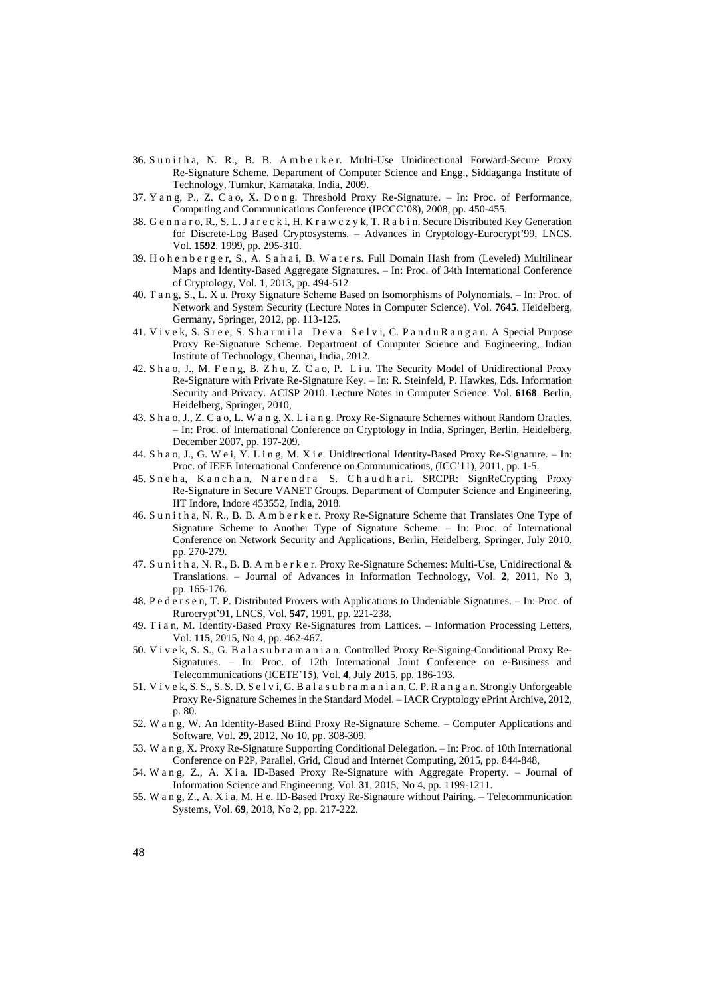- 36. Sunitha, N. R., B. B. Amberker. Multi-Use Unidirectional Forward-Secure Proxy Re-Signature Scheme. Department of Computer Science and Engg., Siddaganga Institute of Technology, Tumkur, Karnataka, India, 2009.
- 37. Y a n g, P., Z. C a o, X. D o n g. Threshold Proxy Re-Signature. In: Proc. of Performance, Computing and Communications Conference (IPCCC'08), 2008, pp. 450-455.
- 38. G e n n a r o, R., S. L. J a r e c k i, H. K r a w c z y k, T. R a b i n. Secure Distributed Key Generation for Discrete-Log Based Cryptosystems. – Advances in Cryptology-Eurocrypt'99, LNCS. Vol. **1592**. 1999, pp. 295-310.
- 39. H o h e n b e r g e r, S., A. S a h a i, B. W a t e r s. Full Domain Hash from (Leveled) Multilinear Maps and Identity-Based Aggregate Signatures. – In: Proc. of 34th International Conference of Cryptology, Vol. **1**, 2013, pp. 494-512
- 40. Tan g, S., L. X u. Proxy Signature Scheme Based on Isomorphisms of Polynomials. In: Proc. of Network and System Security (Lecture Notes in Computer Science). Vol. **7645**. Heidelberg, Germany, Springer, 2012, pp. 113-125.
- 41. Vivek, S. Sree, S. Sharmila Deva Selvi, C. Pandu Rangan. A Special Purpose Proxy Re-Signature Scheme. Department of Computer Science and Engineering, Indian Institute of Technology, Chennai, India, 2012.
- 42. S h a o, J., M. F e n g, B. Z h u, Z. C a o, P. L i u. The Security Model of Unidirectional Proxy Re-Signature with Private Re-Signature Key. – In: R. Steinfeld, P. Hawkes, Eds. Information Security and Privacy. ACISP 2010. Lecture Notes in Computer Science. Vol. **6168**. Berlin, Heidelberg, Springer, 2010,
- 43. S h a o, J., Z. C a o, L. W a n g, X. Lian g. Proxy Re-Signature Schemes without Random Oracles. – In: Proc. of International Conference on Cryptology in India, Springer, Berlin, Heidelberg, December 2007, pp. 197-209.
- 44. S h a o, J., G. W e i, Y. Lin g, M. X i e. Unidirectional Identity-Based Proxy Re-Signature. In: Proc. of IEEE International Conference on Communications, (ICC'11), 2011, pp. 1-5.
- 45. Sneha, Kanchan, Narendra S. Chaudhari. SRCPR: SignReCrypting Proxy Re-Signature in Secure VANET Groups. Department of Computer Science and Engineering, IIT Indore, Indore 453552, India, 2018.
- 46. S u n i t h a, N. R., B. B. A m b e r k e r. Proxy Re-Signature Scheme that Translates One Type of Signature Scheme to Another Type of Signature Scheme. – In: Proc. of International Conference on Network Security and Applications, Berlin, Heidelberg, Springer, July 2010, pp. 270-279.
- 47. S u n i t h a, N. R., B. B. A m b e r k e r. Proxy Re-Signature Schemes: Multi-Use, Unidirectional & Translations. – Journal of Advances in Information Technology, Vol. **2**, 2011, No 3, pp. 165-176.
- 48. P e d e r s e n, T. P. Distributed Provers with Applications to Undeniable Signatures. In: Proc. of Rurocrypt'91, LNCS, Vol. **547**, 1991, pp. 221-238.
- 49. Tia n, M. Identity-Based Proxy Re-Signatures from Lattices. Information Processing Letters, Vol. **115**, 2015, No 4, pp. 462-467.
- 50. V i v e k, S. S., G. B a l a s u b r a m a n i a n. Controlled Proxy Re-Signing-Conditional Proxy Re-Signatures. – In: Proc. of 12th International Joint Conference on e-Business and Telecommunications (ICETE'15), Vol. **4**, July 2015, pp. 186-193.
- 51. V i v e k, S. S., S. S. D. S e l v i, G. B a l a s u b r a m a n i a n, C. P. R a n g a n. Strongly Unforgeable Proxy Re-Signature Schemes in the Standard Model. – IACR Cryptology ePrint Archive, 2012, p. 80.
- 52. W a n g, W. An Identity-Based Blind Proxy Re-Signature Scheme. Computer Applications and Software, Vol. **29**, 2012, No 10, pp. 308-309.
- 53. W a n g, X. Proxy Re-Signature Supporting Conditional Delegation. In: Proc. of 10th International Conference on P2P, Parallel, Grid, Cloud and Internet Computing, 2015, pp. 844-848,
- 54. W a n g, Z., A. X i a. ID-Based Proxy Re-Signature with Aggregate Property. Journal of Information Science and Engineering, Vol. **31**, 2015, No 4, pp. 1199-1211.
- 55. W a n g, Z., A. X i a, M. H e. ID-Based Proxy Re-Signature without Pairing. Telecommunication Systems, Vol. **69**, 2018, No 2, pp. 217-222.